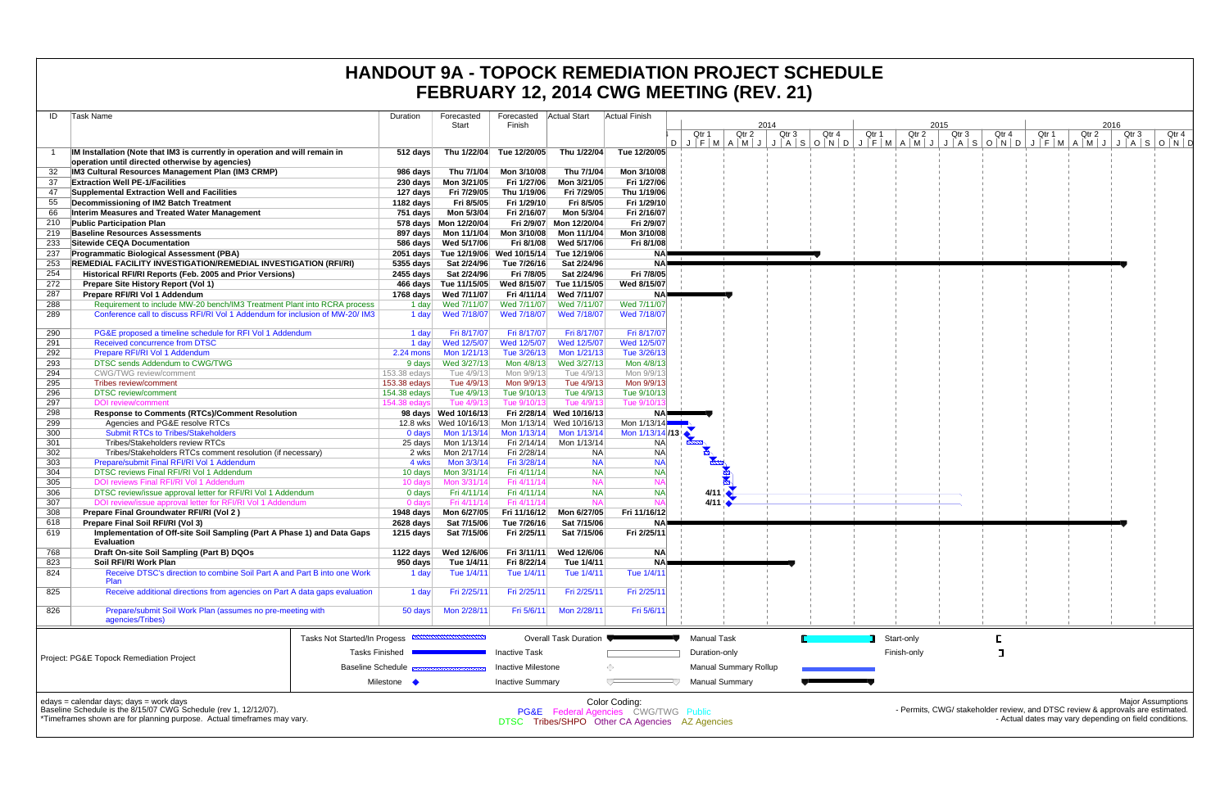| ID         | Task Name                                                                                                                                                                              |                              | Duration     | Forecasted             | Forecasted                 | Actual Start               | Actual Finish                                                                                                      |                        |                              |                                                             |       |              |
|------------|----------------------------------------------------------------------------------------------------------------------------------------------------------------------------------------|------------------------------|--------------|------------------------|----------------------------|----------------------------|--------------------------------------------------------------------------------------------------------------------|------------------------|------------------------------|-------------------------------------------------------------|-------|--------------|
|            |                                                                                                                                                                                        |                              |              | Start                  | Finish                     |                            |                                                                                                                    | Qtr 1                  | Qtr 2                        | 2014<br>Qtr 3                                               | Qtr 4 | Qtr 1        |
|            |                                                                                                                                                                                        |                              |              |                        |                            |                            |                                                                                                                    | D                      |                              | $J$ $F$ $M$ $A$ $M$ $J$ $J$ $A$ $S$ $O$ $N$ $D$ $J$ $F$ $M$ |       |              |
| -1         | IM Installation (Note that IM3 is currently in operation and will remain in                                                                                                            |                              | 512 days     | Thu 1/22/04            | Tue 12/20/05               | Thu 1/22/04                | Tue 12/20/05                                                                                                       |                        |                              |                                                             |       |              |
|            | operation until directed otherwise by agencies)                                                                                                                                        |                              |              |                        |                            |                            |                                                                                                                    |                        |                              |                                                             |       |              |
| 32         | IM3 Cultural Resources Management Plan (IM3 CRMP)                                                                                                                                      |                              | 986 days     | Thu 7/1/04             | Mon 3/10/08                | Thu 7/1/04                 | Mon 3/10/08                                                                                                        |                        |                              |                                                             |       |              |
| 37         | <b>Extraction Well PE-1/Facilities</b>                                                                                                                                                 |                              | 230 days     | Mon 3/21/05            | Fri 1/27/06                | Mon 3/21/05                | Fri 1/27/06                                                                                                        |                        |                              |                                                             |       |              |
| 47         | Supplemental Extraction Well and Facilities                                                                                                                                            |                              | 127 days     | Fri 7/29/05            | Thu 1/19/06                | Fri 7/29/05                | Thu 1/19/06                                                                                                        |                        |                              |                                                             |       |              |
| 55         | Decommissioning of IM2 Batch Treatment                                                                                                                                                 |                              | 1182 days    | Fri 8/5/05             | Fri 1/29/10                | Fri 8/5/05                 | Fri 1/29/10                                                                                                        |                        |                              |                                                             |       |              |
| 66         | Interim Measures and Treated Water Management                                                                                                                                          |                              | 751 days     | Mon 5/3/04             | Fri 2/16/07                | Mon 5/3/04                 | Fri 2/16/07                                                                                                        |                        |                              |                                                             |       |              |
| 210        | <b>Public Participation Plan</b>                                                                                                                                                       |                              |              | 578 days  Mon 12/20/04 |                            | Fri 2/9/07 Mon 12/20/04    | Fri 2/9/07                                                                                                         |                        |                              |                                                             |       |              |
| 219        | <b>Baseline Resources Assessments</b>                                                                                                                                                  |                              | 897 days     | Mon 11/1/04            | Mon 3/10/08                | Mon 11/1/04                | Mon 3/10/08                                                                                                        |                        |                              |                                                             |       |              |
| 233        | Sitewide CEQA Documentation                                                                                                                                                            |                              | 586 days     | Wed 5/17/06            | Fri 8/1/08                 | Wed 5/17/06                | Fri 8/1/08                                                                                                         |                        |                              |                                                             |       |              |
| 237        | <b>Programmatic Biological Assessment (PBA)</b>                                                                                                                                        |                              | $2051$ days  |                        | Tue 12/19/06 Wed 10/15/14  | Tue 12/19/06               | NA)                                                                                                                |                        |                              |                                                             |       |              |
| 253        | REMEDIAL FACILITY INVESTIGATION/REMEDIAL INVESTIGATION (RFI/RI)                                                                                                                        |                              | 5355 days    | Sat 2/24/96            | Tue 7/26/16                | Sat 2/24/96                | NA)                                                                                                                |                        |                              |                                                             |       |              |
| 254<br>272 | Historical RFI/RI Reports (Feb. 2005 and Prior Versions)                                                                                                                               |                              | 2455 days    | Sat 2/24/96            | Fri 7/8/05                 | Sat 2/24/96                | Fri 7/8/05                                                                                                         |                        |                              |                                                             |       |              |
|            | Prepare Site History Report (Vol 1)                                                                                                                                                    |                              | 466 days     | Tue 11/15/05           | Wed 8/15/07                | Tue 11/15/05               | Wed 8/15/07                                                                                                        |                        |                              |                                                             |       |              |
| 287<br>288 | Prepare RFI/RI Vol 1 Addendum                                                                                                                                                          |                              | 1768 days    | Wed 7/11/07            | Fri 4/11/14<br>Wed 7/11/07 | Wed 7/11/07<br>Wed 7/11/07 | NA)<br>Wed 7/11/07                                                                                                 |                        |                              |                                                             |       |              |
| 289        | Requirement to include MW-20 bench/IM3 Treatment Plant into RCRA process                                                                                                               |                              | 1 day        | Wed 7/11/07            |                            |                            |                                                                                                                    |                        |                              |                                                             |       |              |
|            | Conference call to discuss RFI/RI Vol 1 Addendum for inclusion of MW-20/ IM3                                                                                                           |                              | 1 day        | Wed 7/18/07            | Wed 7/18/07                | Wed 7/18/07                | Wed 7/18/07                                                                                                        |                        |                              |                                                             |       |              |
| 290        | PG&E proposed a timeline schedule for RFI Vol 1 Addendum                                                                                                                               |                              | 1 day        | Fri 8/17/07            | Fri 8/17/07                | Fri 8/17/07                | Fri 8/17/07                                                                                                        |                        |                              |                                                             |       |              |
| 291        | Received concurrence from DTSC                                                                                                                                                         |                              | 1 day        | Wed 12/5/07            | Wed 12/5/07                | Wed 12/5/07                | Wed 12/5/07                                                                                                        |                        |                              |                                                             |       |              |
| 292        | Prepare RFI/RI Vol 1 Addendum                                                                                                                                                          |                              | $2.24$ mons  | Mon 1/21/13            | Tue 3/26/13                | Mon 1/21/13                | Tue 3/26/13                                                                                                        |                        |                              |                                                             |       |              |
| 293        | DTSC sends Addendum to CWG/TWG                                                                                                                                                         |                              | 9 days       | Wed 3/27/13            | Mon 4/8/13                 | Wed 3/27/13                | Mon 4/8/13                                                                                                         |                        |                              |                                                             |       |              |
| 294        | <b>CWG/TWG</b> review/comment                                                                                                                                                          |                              | 153.38 edays | Tue 4/9/13             | Mon 9/9/13                 | Tue 4/9/13                 | Mon 9/9/13                                                                                                         |                        |                              |                                                             |       |              |
| 295        | Tribes review/comment                                                                                                                                                                  |                              | 153.38 edays | Tue 4/9/13             | Mon 9/9/13                 | Tue 4/9/13                 | Mon 9/9/13                                                                                                         |                        |                              |                                                             |       |              |
| 296        | <b>DTSC</b> review/comment                                                                                                                                                             |                              | 154.38 edays | Tue 4/9/13             | Tue 9/10/13                | Tue 4/9/13                 | Tue 9/10/13                                                                                                        |                        |                              |                                                             |       |              |
| 297        | <b>DOI</b> review/comment                                                                                                                                                              |                              | 154.38 edays | Tue 4/9/13             | Tue 9/10/13                | Tue 4/9/13                 | Tue 9/10/                                                                                                          |                        |                              |                                                             |       |              |
| 298        | <b>Response to Comments (RTCs)/Comment Resolution</b>                                                                                                                                  |                              |              | 98 days Wed 10/16/13   |                            | Fri 2/28/14 Wed 10/16/13   | NAP                                                                                                                |                        |                              |                                                             |       |              |
| 299        | Agencies and PG&E resolve RTCs                                                                                                                                                         |                              |              | 12.8 wks  Wed 10/16/13 |                            | Mon 1/13/14 Wed 10/16/13   | Mon 1/13/14                                                                                                        |                        |                              |                                                             |       |              |
| 300        | <b>Submit RTCs to Tribes/Stakeholders</b>                                                                                                                                              |                              | 0 days       | Mon 1/13/14            | Mon 1/13/14                | Mon 1/13/14                | Mon 1/13/14/13                                                                                                     |                        |                              |                                                             |       |              |
| 301        | Tribes/Stakeholders review RTCs                                                                                                                                                        |                              | 25 days      | Mon 1/13/14            | Fri 2/14/14                | Mon 1/13/14                | NA.                                                                                                                |                        |                              |                                                             |       |              |
| 302        | Tribes/Stakeholders RTCs comment resolution (if necessary)                                                                                                                             |                              | 2 wks        | Mon 2/17/14            | Fri 2/28/14                | NA.                        | <b>NA</b>                                                                                                          |                        |                              |                                                             |       |              |
| 303        | Prepare/submit Final RFI/RI Vol 1 Addendum                                                                                                                                             |                              | 4 wks        | Mon 3/3/14             | Fri 3/28/14                | <b>NA</b>                  | <b>NA</b>                                                                                                          |                        |                              |                                                             |       |              |
| 304        | DTSC reviews Final RFI/RI Vol 1 Addendum                                                                                                                                               |                              | 10 days      | Mon 3/31/14            | Fri 4/11/14                | <b>NA</b>                  | <b>NA</b>                                                                                                          |                        |                              |                                                             |       |              |
| 305        | DOI reviews Final RFI/RI Vol 1 Addendum                                                                                                                                                |                              | 10 days      | Mon 3/31/14            | Fri 4/11/14                | <b>NA</b>                  | <b>NA</b>                                                                                                          |                        | 图                            |                                                             |       |              |
| 306        | DTSC review/issue approval letter for RFI/RI Vol 1 Addendum                                                                                                                            |                              | 0 days       | Fri 4/11/14            | Fri 4/11/14                | <b>NA</b>                  | <b>NA</b>                                                                                                          | $4/11$ $\triangleleft$ |                              |                                                             |       |              |
| 307        | DOI review/issue approval letter for RFI/RI Vol 1 Addendum                                                                                                                             |                              | 0 days       | Fri 4/11/14            | Fri 4/11/14                | <b>NA</b>                  | N۵                                                                                                                 | 4/11                   |                              |                                                             |       |              |
| 308        | Prepare Final Groundwater RFI/RI (Vol 2)                                                                                                                                               |                              | 1948 days    | Mon 6/27/05            | Fri 11/16/12               | Mon 6/27/05                | Fri 11/16/12                                                                                                       |                        |                              |                                                             |       |              |
| 618        | Prepare Final Soil RFI/RI (Vol 3)                                                                                                                                                      |                              | 2628 days    | Sat 7/15/06            | Tue 7/26/16                | Sat 7/15/06                | NA                                                                                                                 |                        |                              |                                                             |       |              |
| 619        | Implementation of Off-site Soil Sampling (Part A Phase 1) and Data Gaps<br><b>Evaluation</b>                                                                                           |                              | 1215 days    | Sat 7/15/06            | Fri 2/25/11                | Sat 7/15/06                | Fri 2/25/11                                                                                                        |                        |                              |                                                             |       |              |
| 768        | Draft On-site Soil Sampling (Part B) DQOs                                                                                                                                              |                              | 1122 days    | Wed 12/6/06            | Fri 3/11/11                | Wed 12/6/06                | <b>NA</b>                                                                                                          |                        |                              |                                                             |       |              |
| 823        | Soil RFI/RI Work Plan                                                                                                                                                                  |                              | 950 days     | Tue 1/4/11             | Fri 8/22/14                | Tue 1/4/11                 | NA)                                                                                                                |                        |                              |                                                             |       |              |
| 824        | Receive DTSC's direction to combine Soil Part A and Part B into one Work<br>Plan                                                                                                       |                              | 1 day        | Tue 1/4/11             | Tue 1/4/11                 | Tue 1/4/11                 | Tue 1/4/11                                                                                                         |                        |                              |                                                             |       |              |
| 825        | Receive additional directions from agencies on Part A data gaps evaluation                                                                                                             |                              | 1 day        | Fri 2/25/11            | Fri 2/25/11                | Fri 2/25/11                | Fri 2/25/11                                                                                                        |                        |                              |                                                             |       |              |
| 826        | Prepare/submit Soil Work Plan (assumes no pre-meeting with<br>agencies/Tribes)                                                                                                         |                              | 50 days      | Mon 2/28/11            | Fri 5/6/11                 | Mon 2/28/11                | Fri 5/6/11                                                                                                         |                        |                              |                                                             |       |              |
|            |                                                                                                                                                                                        | Tasks Not Started/In Progess |              |                        |                            | Overall Task Duration      |                                                                                                                    | <b>Manual Task</b>     |                              |                                                             |       | Star         |
|            | Project: PG&E Topock Remediation Project                                                                                                                                               | <b>Tasks Finished</b>        |              |                        | <b>Inactive Task</b>       |                            |                                                                                                                    | Duration-only          |                              |                                                             |       | <b>Fini:</b> |
|            |                                                                                                                                                                                        | <b>Baseline Schedule</b>     |              |                        | <b>Inactive Milestone</b>  |                            | ⊙                                                                                                                  |                        | <b>Manual Summary Rollup</b> |                                                             |       |              |
|            |                                                                                                                                                                                        |                              |              |                        |                            |                            |                                                                                                                    |                        |                              |                                                             |       |              |
|            |                                                                                                                                                                                        |                              | Milestone •  |                        | <b>Inactive Summary</b>    |                            |                                                                                                                    |                        | <b>Manual Summary</b>        |                                                             |       |              |
|            | edays = calendar days; days = work days<br>Baseline Schedule is the 8/15/07 CWG Schedule (rev 1, 12/12/07).<br>*Timeframes shown are for planning purpose. Actual timeframes may vary. |                              |              |                        |                            |                            | Color Coding:<br><b>PG&amp;E</b> Federal Agencies CWG/TWG Public<br>DTSC Tribes/SHPO Other CA Agencies AZ Agencies |                        |                              |                                                             |       |              |

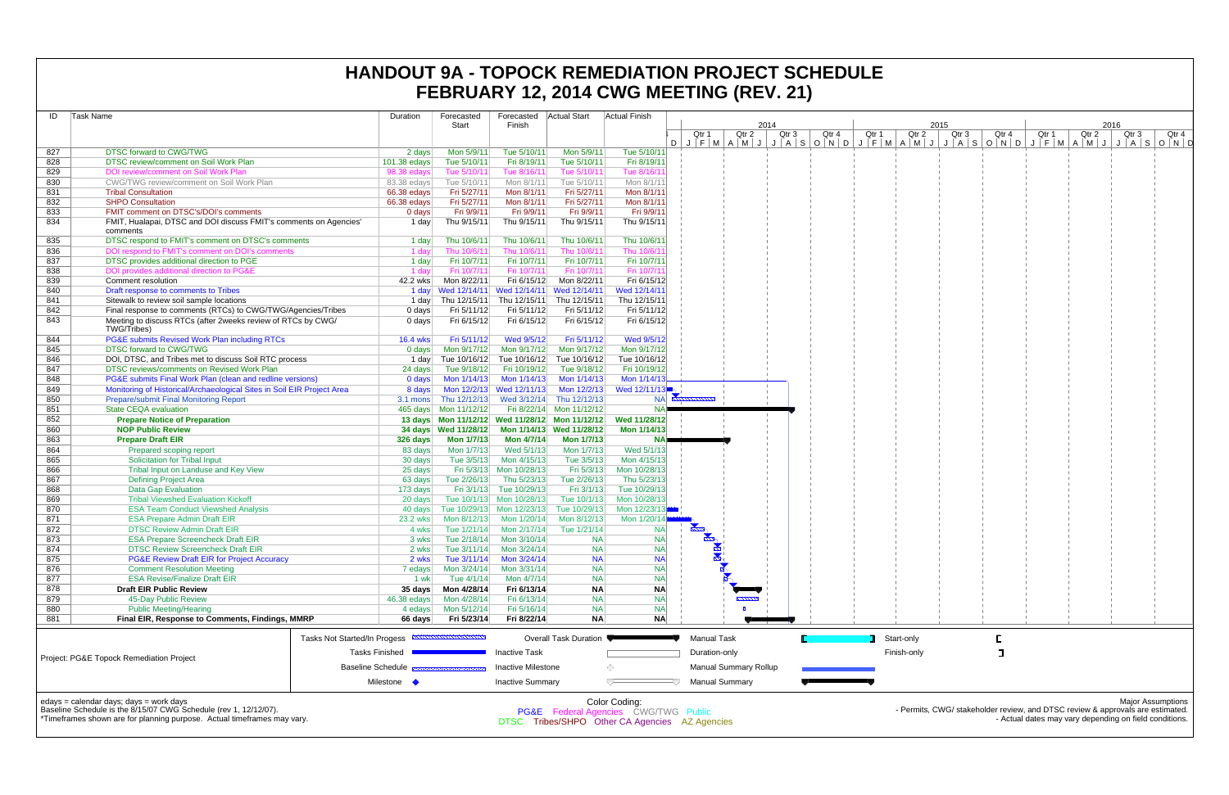| Task Name<br>ID |                                                                                | Duration                     |                 | Forecasted<br><b>Start</b>    | Forecasted Actual Start<br>Finish |                                                      | <b>Actual Finish</b>      | 2014                                  |                  |       |       |             | 2015             |       |       | 2016  |                           |
|-----------------|--------------------------------------------------------------------------------|------------------------------|-----------------|-------------------------------|-----------------------------------|------------------------------------------------------|---------------------------|---------------------------------------|------------------|-------|-------|-------------|------------------|-------|-------|-------|---------------------------|
|                 |                                                                                |                              |                 |                               |                                   |                                                      |                           | Otr 1<br>Qtr 2                        | Qtr <sub>3</sub> | Qtr 4 | Qtr 1 | Qtr 2       | Qtr <sub>3</sub> | Qtr 4 | Qtr 1 | Qtr 2 | Qtr <sub>3</sub><br>Qtr 4 |
| 827             | <b>DTSC forward to CWG/TWG</b>                                                 |                              | 2 days          | Mon 5/9/11                    | Tue 5/10/11                       | Mon 5/9/11                                           | Tue 5/10/11               | DJFMAMJJASONDJFMAMJJASONDJFMAMJJASOND |                  |       |       |             |                  |       |       |       |                           |
| 828             | DTSC review/comment on Soil Work Plan                                          |                              | $101.38$ edays  | Tue 5/10/11                   | Fri 8/19/11                       | Tue 5/10/11                                          | Fri 8/19/11               |                                       |                  |       |       |             |                  |       |       |       |                           |
| 829             | DOI review/comment on Soil Work Plan                                           |                              | 98.38 edays     | Tue 5/10/11                   | Tue 8/16/11                       | Tue 5/10/11                                          | Tue 8/16/1                |                                       |                  |       |       |             |                  |       |       |       |                           |
| 830             | CWG/TWG review/comment on Soil Work Plan                                       |                              | 83.38 edays     | Tue 5/10/11                   | Mon 8/1/11                        | Tue 5/10/11                                          | Mon 8/1/11                |                                       |                  |       |       |             |                  |       |       |       |                           |
| 831             | <b>Tribal Consultation</b>                                                     |                              | 66.38 edays     | Fri 5/27/11                   | Mon 8/1/11                        | Fri 5/27/11                                          | Mon 8/1/11                |                                       |                  |       |       |             |                  |       |       |       |                           |
| 832             | <b>SHPO Consultation</b>                                                       |                              | 66.38 edays     | Fri 5/27/11                   | Mon 8/1/11                        | Fri 5/27/11                                          | Mon 8/1/11                |                                       |                  |       |       |             |                  |       |       |       |                           |
| 833             | FMIT comment on DTSC's/DOI's comments                                          |                              | $0$ days        | Fri 9/9/11                    | Fri 9/9/11                        | Fri 9/9/11                                           | Fri 9/9/11                |                                       |                  |       |       |             |                  |       |       |       |                           |
| 834             | FMIT, Hualapai, DTSC and DOI discuss FMIT's comments on Agencies'<br>comments  |                              | 1 day           | Thu 9/15/11                   | Thu 9/15/11                       | Thu 9/15/11                                          | Thu 9/15/11               |                                       |                  |       |       |             |                  |       |       |       |                           |
| 835             | DTSC respond to FMIT's comment on DTSC's comments                              |                              | 1 day           | Thu 10/6/11                   | Thu 10/6/11                       | Thu 10/6/11                                          | Thu 10/6/11               |                                       |                  |       |       |             |                  |       |       |       |                           |
| 836             | DOI respond to FMIT's comment on DOI's comments                                |                              | 1 day           | Thu 10/6/11                   | Thu 10/6/11                       | Thu 10/6/11                                          | Thu 10/6/1                |                                       |                  |       |       |             |                  |       |       |       |                           |
| 837             | DTSC provides additional direction to PGE                                      |                              | 1 day           | Fri 10/7/11                   | Fri 10/7/11                       | Fri 10/7/11                                          | Fri 10/7/11               |                                       |                  |       |       |             |                  |       |       |       |                           |
| 838             | DOI provides additional direction to PG&E                                      |                              | 1 dav           | Fri 10/7/1                    | Fri 10/7/11                       | Fri 10/7/11                                          | Fri 10/7/1                |                                       |                  |       |       |             |                  |       |       |       |                           |
| 839             | Comment resolution                                                             |                              | 42.2 wks        | Mon 8/22/11                   | Fri 6/15/12                       | Mon 8/22/11                                          | Fri 6/15/12               |                                       |                  |       |       |             |                  |       |       |       |                           |
| 840             | Draft response to comments to Tribes                                           |                              |                 |                               |                                   | 1 day Wed 12/14/11 Wed 12/14/11 Wed 12/14/11         | Wed 12/14/11              |                                       |                  |       |       |             |                  |       |       |       |                           |
| 841             | Sitewalk to review soil sample locations                                       |                              | 1 dayl          | Thu 12/15/11                  |                                   | Thu 12/15/11 Thu 12/15/11                            | Thu 12/15/11              |                                       |                  |       |       |             |                  |       |       |       |                           |
| 842             | Final response to comments (RTCs) to CWG/TWG/Agencies/Tribes                   |                              | 0 days          | Fri 5/11/12                   | Fri 5/11/12                       | Fri 5/11/12                                          | Fri 5/11/12               |                                       |                  |       |       |             |                  |       |       |       |                           |
| 843             | Meeting to discuss RTCs (after 2weeks review of RTCs by CWG/<br>TWG/Tribes)    |                              | 0 days          | Fri 6/15/12                   | Fri 6/15/12                       | Fri 6/15/12                                          | Fri 6/15/12               |                                       |                  |       |       |             |                  |       |       |       |                           |
| 844             | PG&E submits Revised Work Plan including RTCs                                  |                              | <b>16.4 wks</b> | Fri 5/11/12                   | Wed 9/5/12                        | Fri 5/11/12                                          | Wed 9/5/12                |                                       |                  |       |       |             |                  |       |       |       |                           |
| 845             | <b>DTSC forward to CWG/TWG</b>                                                 |                              | 0 days          | Mon 9/17/12                   | Mon 9/17/12                       | Mon 9/17/12                                          | Mon 9/17/12               |                                       |                  |       |       |             |                  |       |       |       |                           |
| 846             | DOI, DTSC, and Tribes met to discuss Soil RTC process                          |                              | 1 day           | Tue 10/16/12 Tue 10/16/12     |                                   | Tue 10/16/12                                         | Tue 10/16/12              |                                       |                  |       |       |             |                  |       |       |       |                           |
| 847             | DTSC reviews/comments on Revised Work Plan                                     |                              | 24 days         | Tue 9/18/12                   | Fri 10/19/12                      | Tue 9/18/12                                          | Fri 10/19/12              |                                       |                  |       |       |             |                  |       |       |       |                           |
| 848             | PG&E submits Final Work Plan (clean and redline versions)                      |                              | $0$ days        | Mon 1/14/13                   | Mon 1/14/13                       | Mon 1/14/13                                          | Mon 1/14/13               |                                       |                  |       |       |             |                  |       |       |       |                           |
| 849             | Monitoring of Historical/Archaeological Sites in Soil EIR Project Area         |                              | 8 days          |                               | Mon 12/2/13 Wed 12/11/13          | Mon 12/2/13                                          | Wed 12/11/13 <sup>-</sup> |                                       |                  |       |       |             |                  |       |       |       |                           |
| 850<br>851      | <b>Prepare/submit Final Monitoring Report</b><br><b>State CEQA evaluation</b>  |                              | 3.1 mons        | Thu 12/12/13                  |                                   | Wed 3/12/14 Thu 12/12/13<br>Fri 8/22/14 Mon 11/12/12 | <b>NA</b><br><b>NA</b>    |                                       |                  |       |       |             |                  |       |       |       |                           |
| 852             | <b>Prepare Notice of Preparation</b>                                           |                              |                 | 465 days Mon 11/12/12         |                                   | 13 days Mon 11/12/12 Wed 11/28/12 Mon 11/12/12       | Wed 11/28/12              |                                       |                  |       |       |             |                  |       |       |       |                           |
| 860             | <b>NOP Public Review</b>                                                       |                              |                 | 34 days  Wed 11/28/12         |                                   | Mon 1/14/13 Wed 11/28/12                             | Mon 1/14/13               |                                       |                  |       |       |             |                  |       |       |       |                           |
| 863             | <b>Prepare Draft EIR</b>                                                       |                              | 326 days        | <b>Mon 1/7/13</b>             | <b>Mon 4/7/14</b>                 | <b>Mon 1/7/13</b>                                    |                           |                                       |                  |       |       |             |                  |       |       |       |                           |
| 864             | Prepared scoping report                                                        |                              | 83 days         | Mon 1/7/13                    | Wed 5/1/13                        | Mon 1/7/13                                           | Wed 5/1/13                |                                       |                  |       |       |             |                  |       |       |       |                           |
| 865             | Solicitation for Tribal Input                                                  |                              | 30 days         | Tue 3/5/13                    | Mon 4/15/13                       | Tue 3/5/13                                           | Mon 4/15/13               |                                       |                  |       |       |             |                  |       |       |       |                           |
| 866             | Tribal Input on Landuse and Key View                                           |                              | 25 days         |                               | Fri 5/3/13 Mon 10/28/13           | Fri 5/3/13                                           | Mon 10/28/13              |                                       |                  |       |       |             |                  |       |       |       |                           |
| 867             | <b>Defining Project Area</b>                                                   |                              | 63 days         | Tue 2/26/13                   | Thu 5/23/13                       | Tue 2/26/13                                          | Thu 5/23/13               |                                       |                  |       |       |             |                  |       |       |       |                           |
| 868             | <b>Data Gap Evaluation</b>                                                     |                              | $173$ days      | Fri 3/1/13                    | Tue 10/29/13                      | Fri 3/1/13                                           | Tue 10/29/13              |                                       |                  |       |       |             |                  |       |       |       |                           |
| 869             | <b>Tribal Viewshed Evaluation Kickoff</b>                                      |                              | 20 days         |                               | Tue 10/1/13 Mon 10/28/13          | Tue 10/1/13                                          | Mon 10/28/13              |                                       |                  |       |       |             |                  |       |       |       |                           |
| 870             | <b>ESA Team Conduct Viewshed Analysis</b>                                      |                              | 40 days         | Tue 10/29/13                  | Mon 12/23/13                      | Tue 10/29/13                                         | Mon $12/23/13$            |                                       |                  |       |       |             |                  |       |       |       |                           |
| 871             | <b>ESA Prepare Admin Draft EIR</b>                                             |                              | 23.2 wks        | Mon 8/12/13                   | Mon 1/20/14                       | Mon 8/12/13                                          | Mon 1/20/14               | <u>tam</u>                            |                  |       |       |             |                  |       |       |       |                           |
| 872<br>873      | <b>DTSC Review Admin Draft EIR</b><br><b>ESA Prepare Screencheck Draft EIR</b> |                              | 4 wks           | 3 wks Tue 2/18/14 Mon 3/10/14 | Tue 1/21/14 Mon 2/17/14           | Tue 1/21/14<br><b>NA</b>                             | <b>NA</b><br><b>NA</b>    |                                       |                  |       |       |             |                  |       |       |       |                           |
| 874             | <b>DTSC Review Screencheck Draft EIR</b>                                       |                              | 2 wks           | Tue 3/11/14                   | Mon 3/24/14                       | <b>NA</b>                                            | <b>NA</b>                 | $\frac{1}{\sqrt{2}}$                  |                  |       |       |             |                  |       |       |       |                           |
| 875             | <b>PG&amp;E Review Draft EIR for Project Accuracy</b>                          |                              | 2 wks           | Tue 3/11/14                   | Mon 3/24/14                       | <b>NA</b>                                            | <b>NA</b>                 |                                       |                  |       |       |             |                  |       |       |       |                           |
| 876             | <b>Comment Resolution Meeting</b>                                              |                              | 7 edays         | Mon 3/24/14                   | Mon 3/31/14                       | <b>NA</b>                                            | <b>NA</b>                 |                                       |                  |       |       |             |                  |       |       |       |                           |
| 877             | <b>ESA Revise/Finalize Draft EIR</b>                                           |                              | 1 wk            | Tue 4/1/14                    | Mon 4/7/14                        | <b>NA</b>                                            | <b>NA</b>                 |                                       |                  |       |       |             |                  |       |       |       |                           |
| 878             | <b>Draft EIR Public Review</b>                                                 |                              | 35 days         | Mon 4/28/14                   | Fri 6/13/14                       | <b>NA</b>                                            | <b>NA</b>                 |                                       |                  |       |       |             |                  |       |       |       |                           |
| 879             | 45-Day Public Review                                                           |                              | 46.38 edays     | Mon 4/28/14                   | Fri 6/13/14                       | <b>NA</b>                                            | NA                        |                                       |                  |       |       |             |                  |       |       |       |                           |
| 880             | <b>Public Meeting/Hearing</b>                                                  |                              | 4 edays         | Mon 5/12/14                   | Fri 5/16/14                       | <b>NA</b>                                            | <b>NA</b>                 |                                       |                  |       |       |             |                  |       |       |       |                           |
| 881             | Final EIR, Response to Comments, Findings, MMRP                                |                              | 66 days         | Fri 5/23/14                   | Fri 8/22/14                       | <b>NA</b>                                            | <b>NA</b>                 |                                       |                  |       |       |             |                  |       |       |       |                           |
|                 |                                                                                | Tasks Not Started/In Progess |                 |                               |                                   | Overall Task Duration                                |                           | <b>Manual Task</b>                    |                  |       |       | Start-only  |                  | E.    |       |       |                           |
|                 | Project: PG&E Topock Remediation Project                                       | <b>Tasks Finished</b>        |                 |                               | <b>Inactive Task</b>              |                                                      |                           | Duration-only                         |                  |       |       | Finish-only |                  |       |       |       |                           |
|                 |                                                                                | <b>Baseline Schedule</b>     |                 |                               | <b>Inactive Milestone</b>         |                                                      | ⇔                         | <b>Manual Summary Rollup</b>          |                  |       |       |             |                  |       |       |       |                           |
|                 |                                                                                | Milestone •                  |                 |                               | <b>Inactive Summary</b>           |                                                      |                           | <b>Manual Summary</b>                 |                  |       |       |             |                  |       |       |       |                           |
|                 |                                                                                |                              |                 |                               |                                   |                                                      |                           |                                       |                  |       |       |             |                  |       |       |       |                           |
|                 |                                                                                |                              |                 |                               |                                   |                                                      |                           |                                       |                  |       |       |             |                  |       |       |       |                           |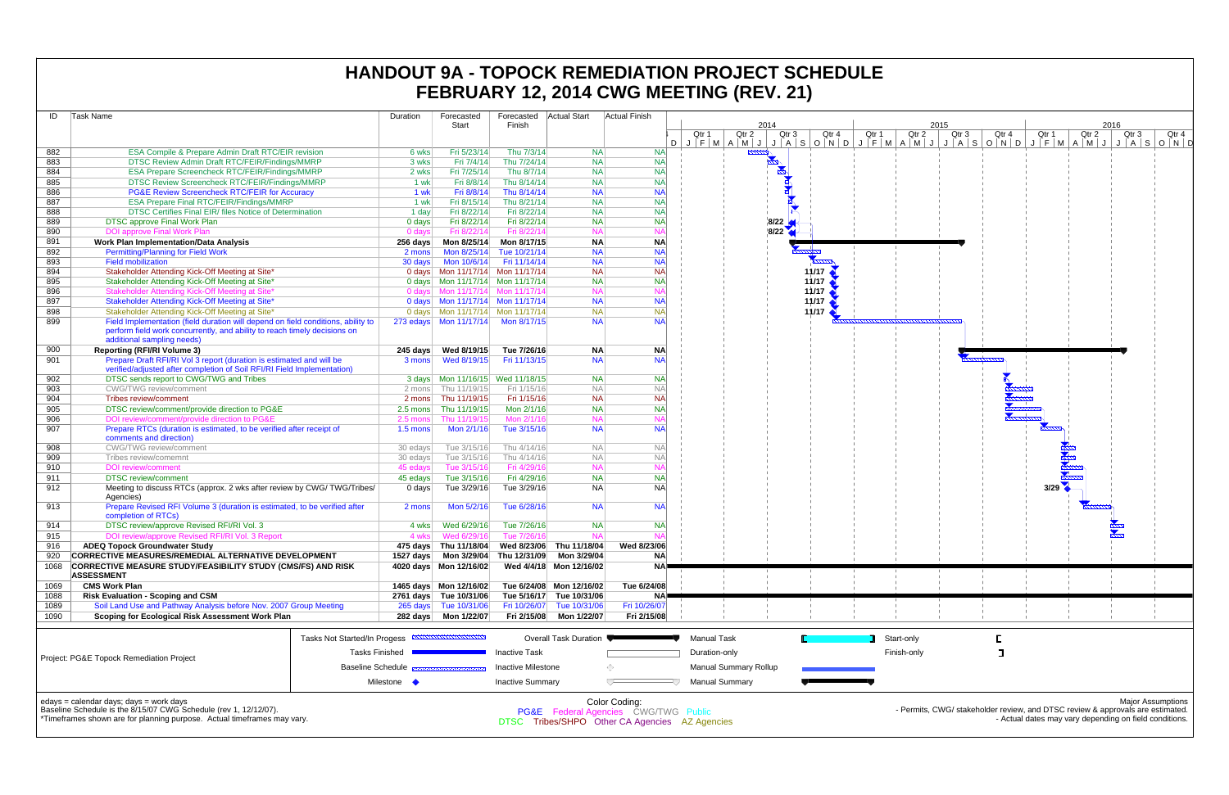| ID         | Task Name                                                                                                   |                              | Duration    | Forecasted                               | Forecasted                | Actual Start             | <b>Actual Finish</b>                           |                       |                              |              |                                                 |                   |
|------------|-------------------------------------------------------------------------------------------------------------|------------------------------|-------------|------------------------------------------|---------------------------|--------------------------|------------------------------------------------|-----------------------|------------------------------|--------------|-------------------------------------------------|-------------------|
|            |                                                                                                             |                              |             | Start                                    | Finish                    |                          |                                                |                       | 2014                         |              |                                                 |                   |
|            |                                                                                                             |                              |             |                                          |                           |                          |                                                | Qtr 1                 | Qtr 2                        | Qtr 3        | Qtr 4                                           | Qtr 1             |
|            |                                                                                                             |                              |             |                                          |                           |                          | D                                              |                       |                              |              | $J$ $F$ $M$ $A$ $M$ $J$ $J$ $A$ $S$ $O$ $N$ $D$ | $J \mid F \mid M$ |
| 882        | ESA Compile & Prepare Admin Draft RTC/EIR revision                                                          |                              | 6 wks       | Fri 5/23/14                              | Thu 7/3/14                | <b>NA</b>                | <b>NA</b>                                      |                       | <u>mmn</u>                   |              |                                                 |                   |
| 883        | <b>DTSC Review Admin Draft RTC/FEIR/Findings/MMRP</b>                                                       |                              | 3 wks       | Fri 7/4/14                               | Thu 7/24/14               | <b>NA</b>                | <b>NA</b>                                      |                       |                              |              |                                                 |                   |
| 884        | ESA Prepare Screencheck RTC/FEIR/Findings/MMRP                                                              |                              | 2 wks       | Fri 7/25/14                              | Thu 8/7/14                | <b>NA</b>                | <b>NA</b>                                      |                       |                              |              |                                                 |                   |
| 885        | DTSC Review Screencheck RTC/FEIR/Findings/MMRP                                                              |                              | 1 wk        | Fri 8/8/14                               | Thu 8/14/14               | <b>NA</b>                | <b>NA</b>                                      |                       |                              | <b>N</b>     |                                                 |                   |
| 886        | PG&E Review Screencheck RTC/FEIR for Accuracy                                                               |                              | 1 wk        | Fri 8/8/14                               | Thu 8/14/14               | <b>NA</b>                | <b>NA</b>                                      |                       |                              | $\mathbf{r}$ |                                                 |                   |
| 887        | <b>ESA Prepare Final RTC/FEIR/Findings/MMRP</b>                                                             |                              | 1 wk        | Fri 8/15/14                              | Thu 8/21/14               | <b>NA</b>                | <b>NA</b>                                      |                       |                              |              |                                                 |                   |
| 888        | DTSC Certifies Final EIR/ files Notice of Determination                                                     |                              | 1 day       | Fri 8/22/14                              | Fri 8/22/14               | <b>NA</b>                | <b>NA</b>                                      |                       |                              |              |                                                 |                   |
| 889        | <b>DTSC approve Final Work Plan</b>                                                                         |                              | 0 days      | Fri 8/22/14                              | Fri 8/22/14               | <b>NA</b>                | <b>NA</b>                                      |                       |                              | 8/22         |                                                 |                   |
| 890        | <b>DOI approve Final Work Plan</b>                                                                          |                              | 0 days      | Fri 8/22/14                              | Fri 8/22/14               | <b>NA</b>                | <b>NA</b>                                      |                       |                              | 8/22         |                                                 |                   |
| 891        | <b>Work Plan Implementation/Data Analysis</b>                                                               |                              | 256 days    | Mon 8/25/14                              | Mon 8/17/15               | <b>NA</b>                | <b>NA</b>                                      |                       |                              |              |                                                 |                   |
| 892        | <b>Permitting/Planning for Field Work</b>                                                                   |                              | 2 mons      | Mon 8/25/14                              | Tue 10/21/14              | <b>NA</b>                | <b>NA</b>                                      |                       |                              |              |                                                 |                   |
| 893        | <b>Field mobilization</b>                                                                                   |                              | 30 days     | Mon 10/6/14                              | Fri 11/14/14              | <b>NA</b>                | <b>NA</b>                                      |                       |                              |              |                                                 |                   |
| 894        | Stakeholder Attending Kick-Off Meeting at Site*                                                             |                              |             |                                          |                           | <b>NA</b>                | <b>NA</b>                                      |                       |                              |              | 11/17                                           |                   |
| 895        | Stakeholder Attending Kick-Off Meeting at Site*                                                             |                              |             |                                          |                           | <b>NA</b>                | <b>NA</b>                                      |                       |                              |              | 11/17                                           |                   |
| 896        | Stakeholder Attending Kick-Off Meeting at Site*                                                             |                              |             | 0 days Mon 11/17/14 Mon 11/17/14         |                           | <b>NA</b>                | <b>NA</b>                                      |                       |                              |              | 11/17                                           |                   |
| 897        | Stakeholder Attending Kick-Off Meeting at Site*                                                             |                              |             |                                          |                           | <b>NA</b>                | <b>NA</b>                                      |                       |                              |              | 11/17                                           |                   |
| 898        | Stakeholder Attending Kick-Off Meeting at Site*                                                             |                              |             |                                          |                           | <b>NA</b>                | <b>NA</b>                                      |                       |                              |              | 11/17                                           |                   |
| 899        | Field Implementation (field duration will depend on field conditions, ability to                            |                              |             | 273 edays Mon 11/17/14                   | Mon 8/17/15               | <b>NA</b>                | NA                                             |                       |                              |              |                                                 |                   |
|            | perform field work concurrently, and ability to reach timely decisions on                                   |                              |             |                                          |                           |                          |                                                |                       |                              |              |                                                 |                   |
|            | additional sampling needs)                                                                                  |                              |             |                                          |                           |                          |                                                |                       |                              |              |                                                 |                   |
| 900<br>901 | <b>Reporting (RFI/RI Volume 3)</b><br>Prepare Draft RFI/RI Vol 3 report (duration is estimated and will be  |                              | 245 days    | Wed 8/19/15                              | Tue 7/26/16               | <b>NA</b><br><b>NA</b>   | <b>NA</b>                                      |                       |                              |              |                                                 |                   |
|            | verified/adjusted after completion of Soil RFI/RI Field Implementation)                                     |                              | 3 mons      | Wed 8/19/15                              | Fri 11/13/15              |                          | <b>NA</b>                                      |                       |                              |              |                                                 |                   |
| 902        |                                                                                                             |                              |             |                                          |                           | <b>NA</b>                | <b>NA</b>                                      |                       |                              |              |                                                 |                   |
| 903        | DTSC sends report to CWG/TWG and Tribes<br>CWG/TWG review/comment                                           |                              |             | 2 mons Thu 11/19/15                      | Fri 1/15/16               | <b>NA</b>                | <b>NA</b>                                      |                       |                              |              |                                                 |                   |
| 904        | Tribes review/comment                                                                                       |                              |             | 2 mons Thu 11/19/15                      | Fri 1/15/16               | <b>NA</b>                | <b>NA</b>                                      |                       |                              |              |                                                 |                   |
| 905        | DTSC review/comment/provide direction to PG&E                                                               |                              | 2.5 mons    | Thu 11/19/15                             | Mon 2/1/16                | <b>NA</b>                | <b>NA</b>                                      |                       |                              |              |                                                 |                   |
| 906        | DOI review/comment/provide direction to PG&E                                                                |                              | 2.5 mons    | Thu 11/19/15                             | Mon 2/1/16                | <b>NA</b>                | <b>NA</b>                                      |                       |                              |              |                                                 |                   |
| 907        | Prepare RTCs (duration is estimated, to be verified after receipt of                                        |                              | $1.5$ mons  | Mon 2/1/16                               | Tue 3/15/16               | <b>NA</b>                | <b>NA</b>                                      |                       |                              |              |                                                 |                   |
|            | comments and direction)                                                                                     |                              |             |                                          |                           |                          |                                                |                       |                              |              |                                                 |                   |
| 908        | CWG/TWG review/comment                                                                                      |                              | 30 edays    | Tue 3/15/16                              | Thu 4/14/16               | <b>NA</b>                | <b>NA</b>                                      |                       |                              |              |                                                 |                   |
| 909        | Tribes review/comemnt                                                                                       |                              | 30 edays    | Tue 3/15/16                              | Thu 4/14/16               | <b>NA</b>                | <b>NA</b>                                      |                       |                              |              |                                                 |                   |
| 910        | <b>DOI</b> review/comment                                                                                   |                              | 45 edays    | Tue 3/15/16                              | Fri 4/29/16               | <b>NA</b>                | <b>NA</b>                                      |                       |                              |              |                                                 |                   |
| 911        | <b>DTSC</b> review/comment                                                                                  |                              | 45 edays    | Tue 3/15/16                              | Fri 4/29/16               | <b>NA</b>                | <b>NA</b>                                      |                       |                              |              |                                                 |                   |
| 912        | Meeting to discuss RTCs (approx. 2 wks after review by CWG/TWG/Tribes/                                      |                              | 0 days      | Tue 3/29/16                              | Tue 3/29/16               | <b>NA</b>                | <b>NA</b>                                      |                       |                              |              |                                                 |                   |
|            | Agencies)                                                                                                   |                              |             |                                          |                           |                          |                                                |                       |                              |              |                                                 |                   |
| 913        | Prepare Revised RFI Volume 3 (duration is estimated, to be verified after                                   |                              | 2 mons      | Mon 5/2/16                               | Tue 6/28/16               | <b>NA</b>                | <b>NA</b>                                      |                       |                              |              |                                                 |                   |
|            | completion of RTCs)                                                                                         |                              |             |                                          |                           |                          |                                                |                       |                              |              |                                                 |                   |
| 914        | DTSC review/approve Revised RFI/RI Vol. 3                                                                   |                              | 4 wks       | Wed 6/29/16                              | Tue 7/26/16               | <b>NA</b>                | <b>NA</b>                                      |                       |                              |              |                                                 |                   |
| 915        | DOI review/approve Revised RFI/RI Vol. 3 Report                                                             |                              | 4 wks       | Wed 6/29/16                              | Tue 7/26/16               | <b>NA</b>                | NΑ                                             |                       |                              |              |                                                 |                   |
| 916        | <b>ADEQ Topock Groundwater Study</b>                                                                        |                              |             | 475 days Thu 11/18/04                    |                           | Wed 8/23/06 Thu 11/18/04 | Wed 8/23/06                                    |                       |                              |              |                                                 |                   |
| 920        | CORRECTIVE MEASURES/REMEDIAL ALTERNATIVE DEVELOPMENT                                                        |                              |             | 1527 days    Mon 3/29/04    Thu 12/31/09 |                           | Mon 3/29/04              | ΝA                                             |                       |                              |              |                                                 |                   |
| 1068       | <b>CORRECTIVE MEASURE STUDY/FEASIBILITY STUDY (CMS/FS) AND RISK</b>                                         |                              |             | 4020 days  Mon 12/16/02                  |                           | Wed 4/4/18 Mon 12/16/02  | <b>NAP</b>                                     |                       |                              |              |                                                 |                   |
|            | <b>ASSESSMENT</b>                                                                                           |                              |             |                                          |                           |                          |                                                |                       |                              |              |                                                 |                   |
| 1069       | <b>CMS Work Plan</b>                                                                                        |                              |             |                                          |                           | Tue 6/24/08 Mon 12/16/02 | Tue 6/24/08                                    |                       |                              |              |                                                 |                   |
| 1088       | <b>Risk Evaluation - Scoping and CSM</b>                                                                    |                              |             | 2761 days Tue 10/31/06                   |                           | Tue 5/16/17 Tue 10/31/06 | NA                                             |                       |                              |              |                                                 |                   |
| 1089       | Soil Land Use and Pathway Analysis before Nov. 2007 Group Meeting                                           |                              |             | 265 days Tue 10/31/06                    | Fri 10/26/07              | Tue 10/31/06             | Fri 10/26/07                                   |                       |                              |              |                                                 |                   |
| 1090       | Scoping for Ecological Risk Assessment Work Plan                                                            |                              |             |                                          | Fri 2/15/08               | Mon 1/22/07              | Fri 2/15/08                                    |                       |                              |              |                                                 |                   |
|            |                                                                                                             |                              |             |                                          |                           |                          |                                                |                       |                              |              |                                                 |                   |
|            |                                                                                                             | Tasks Not Started/In Progess |             |                                          |                           | Overall Task Duration    |                                                | <b>Manual Task</b>    |                              |              |                                                 | Star              |
|            |                                                                                                             |                              |             |                                          |                           |                          |                                                |                       |                              |              |                                                 |                   |
|            | Project: PG&E Topock Remediation Project                                                                    | <b>Tasks Finished</b>        |             |                                          | <b>Inactive Task</b>      |                          |                                                | Duration-only         |                              |              |                                                 | Finis             |
|            |                                                                                                             | <b>Baseline Schedule</b>     |             |                                          | <b>Inactive Milestone</b> |                          | ◇                                              |                       | <b>Manual Summary Rollup</b> |              |                                                 |                   |
|            |                                                                                                             |                              |             |                                          |                           |                          |                                                |                       |                              |              |                                                 |                   |
|            |                                                                                                             |                              | Milestone • |                                          | <b>Inactive Summary</b>   |                          |                                                | <b>Manual Summary</b> |                              |              |                                                 |                   |
|            |                                                                                                             |                              |             |                                          |                           |                          |                                                |                       |                              |              |                                                 |                   |
|            | edays = calendar days; days = work days<br>Baseline Schedule is the 8/15/07 CWG Schedule (rev 1, 12/12/07). |                              |             |                                          |                           |                          | Color Coding:                                  |                       |                              |              |                                                 |                   |
|            | *Timeframes shown are for planning purpose. Actual timeframes may vary.                                     |                              |             |                                          |                           |                          | PG&E Federal Agencies CWG/TWG Public           |                       |                              |              |                                                 |                   |
|            |                                                                                                             |                              |             |                                          |                           |                          | DTSC Tribes/SHPO Other CA Agencies AZ Agencies |                       |                              |              |                                                 |                   |

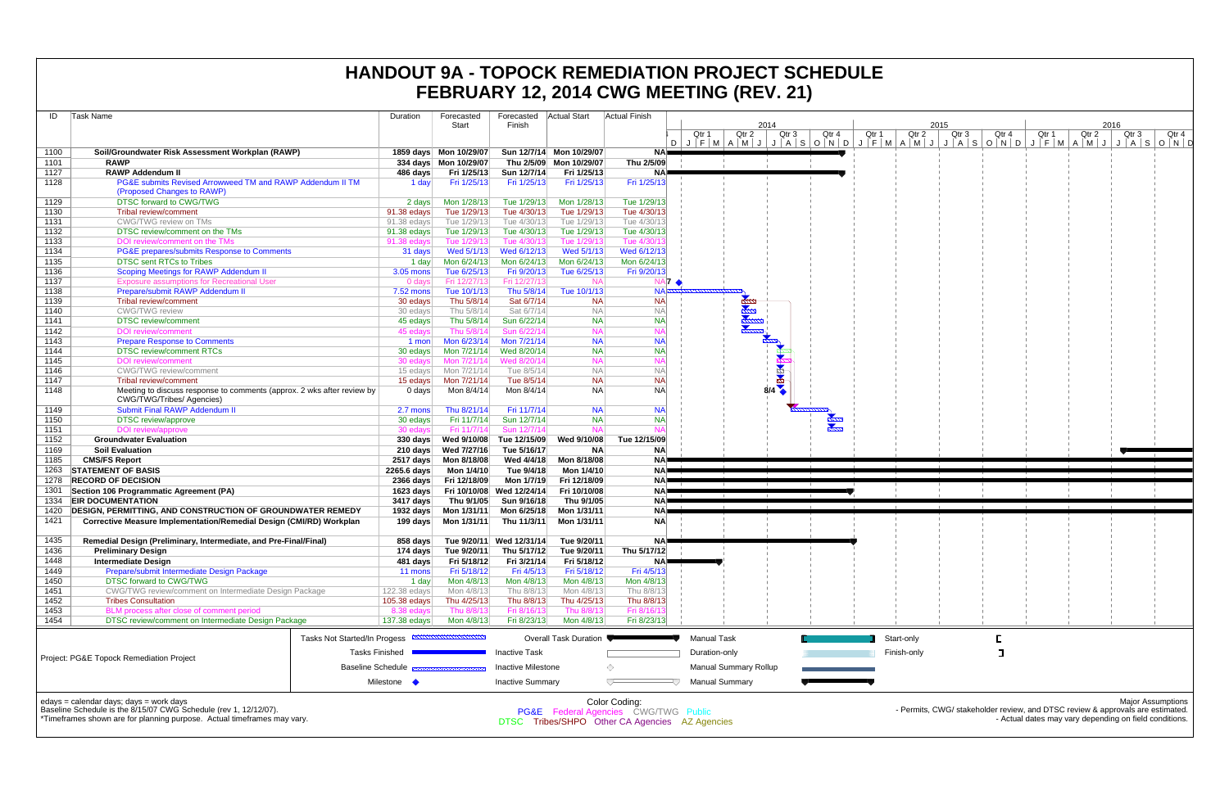| ID   | Task Name                                                                                                                                                                                   |                                                              | Duration     | Forecasted<br>Start    | Forecasted<br>Finish      | <b>Actual Start</b>      | <b>Actual Finish</b>                                                                                               | Qtr 1                                                           | Qtr 2                 | 2014<br>Qtr 3 | Qtr 4         | Qtr 1 |
|------|---------------------------------------------------------------------------------------------------------------------------------------------------------------------------------------------|--------------------------------------------------------------|--------------|------------------------|---------------------------|--------------------------|--------------------------------------------------------------------------------------------------------------------|-----------------------------------------------------------------|-----------------------|---------------|---------------|-------|
|      |                                                                                                                                                                                             |                                                              |              |                        |                           |                          |                                                                                                                    | $D   J   F   M   A   M   J   J   A   S   O   N   D   J   F   M$ |                       |               |               |       |
| 1100 | Soil/Groundwater Risk Assessment Workplan (RAWP)                                                                                                                                            |                                                              |              | 1859 days Mon 10/29/07 |                           | Sun 12/7/14 Mon 10/29/07 | <b>NA</b>                                                                                                          |                                                                 |                       |               |               |       |
| 1101 | <b>RAWP</b>                                                                                                                                                                                 |                                                              |              | 334 days Mon 10/29/07  |                           | Thu 2/5/09 Mon 10/29/07  | Thu 2/5/09                                                                                                         |                                                                 |                       |               |               |       |
| 1127 | <b>RAWP Addendum II</b>                                                                                                                                                                     |                                                              | 486 days     | Fri 1/25/13            | Sun 12/7/14               | Fri 1/25/13              | ΝA                                                                                                                 |                                                                 |                       |               |               |       |
| 1128 | PG&E submits Revised Arrowweed TM and RAWP Addendum II TM<br>(Proposed Changes to RAWP)                                                                                                     |                                                              | 1 day        | Fri 1/25/13            | Fri 1/25/13               | Fri 1/25/13              | Fri 1/25/13                                                                                                        |                                                                 |                       |               |               |       |
| 1129 | <b>DTSC forward to CWG/TWG</b>                                                                                                                                                              |                                                              | 2 days       | Mon 1/28/13            | Tue 1/29/13               | Mon 1/28/13              | Tue 1/29/13                                                                                                        |                                                                 |                       |               |               |       |
| 1130 | Tribal review/comment                                                                                                                                                                       |                                                              | 91.38 edays  | Tue 1/29/13            | Tue 4/30/13               | Tue 1/29/13              | Tue 4/30/13                                                                                                        |                                                                 |                       |               |               |       |
| 1131 | CWG/TWG review on TMs                                                                                                                                                                       |                                                              | 91.38 edays  | Tue 1/29/13            | Tue 4/30/13               | Tue 1/29/13              | Tue 4/30/13                                                                                                        |                                                                 |                       |               |               |       |
| 1132 | DTSC review/comment on the TMs                                                                                                                                                              |                                                              | 91.38 edays  | Tue 1/29/13            | Tue 4/30/13               | Tue 1/29/13              | Tue 4/30/13                                                                                                        |                                                                 |                       |               |               |       |
| 1133 | DOI review/comment on the TMs                                                                                                                                                               |                                                              | 91.38 edays  | Tue 1/29/13            | Tue 4/30/13               | Tue 1/29/13              | Tue 4/30/1                                                                                                         |                                                                 |                       |               |               |       |
| 1134 | PG&E prepares/submits Response to Comments                                                                                                                                                  |                                                              | 31 days      | Wed 5/1/13             | Wed 6/12/13               | Wed 5/1/13               | Wed 6/12/13                                                                                                        |                                                                 |                       |               |               |       |
| 1135 | <b>DTSC sent RTCs to Tribes</b>                                                                                                                                                             |                                                              | 1 day        | Mon 6/24/13            | Mon 6/24/13               | Mon 6/24/13              | Mon 6/24/13                                                                                                        |                                                                 |                       |               |               |       |
| 1136 | <b>Scoping Meetings for RAWP Addendum II</b>                                                                                                                                                |                                                              | 3.05 mons    | Tue 6/25/13            | Fri 9/20/13               | Tue 6/25/13              | Fri 9/20/13                                                                                                        |                                                                 |                       |               |               |       |
| 1137 | <b>Exposure assumptions for Recreational User</b>                                                                                                                                           |                                                              | 0 days       | Fri 12/27/13           | Fri 12/27/13              | <b>NA</b>                | $NA$ $\rightarrow$                                                                                                 |                                                                 |                       |               |               |       |
| 1138 | Prepare/submit RAWP Addendum II                                                                                                                                                             |                                                              | 7.52 mons    | Tue 10/1/13            | Thu 5/8/14                | Tue 10/1/13              | <b>NA</b>                                                                                                          |                                                                 |                       |               |               |       |
| 1139 | Tribal review/comment                                                                                                                                                                       |                                                              | 30 edays     | Thu 5/8/14             | Sat 6/7/14                | <b>NA</b>                | <b>NA</b>                                                                                                          |                                                                 |                       |               |               |       |
| 1140 | <b>CWG/TWG</b> review                                                                                                                                                                       |                                                              | 30 edays     | Thu 5/8/14             | Sat 6/7/14                | <b>NA</b>                | <b>NA</b>                                                                                                          |                                                                 |                       |               |               |       |
| 1141 | <b>DTSC</b> review/comment                                                                                                                                                                  |                                                              | 45 edays     | Thu 5/8/14             | Sun 6/22/14               | <b>NA</b>                | <b>NA</b>                                                                                                          |                                                                 |                       |               |               |       |
| 1142 | <b>DOI</b> review/comment                                                                                                                                                                   |                                                              | 45 edays     | Thu 5/8/14             | Sun 6/22/14               | <b>NA</b>                | N۵                                                                                                                 |                                                                 |                       |               |               |       |
| 1143 | <b>Prepare Response to Comments</b>                                                                                                                                                         |                                                              | 1 mon        | Mon 6/23/14            | Mon 7/21/14               | <b>NA</b>                | <b>NA</b>                                                                                                          |                                                                 |                       |               |               |       |
| 1144 | <b>DTSC review/comment RTCs</b>                                                                                                                                                             |                                                              | 30 edays     | Mon 7/21/14            | Wed 8/20/14               | <b>NA</b>                | <b>NA</b>                                                                                                          |                                                                 |                       |               |               |       |
| 1145 | <b>DOI</b> review/comment                                                                                                                                                                   |                                                              | 30 edays     | Mon 7/21/14            | Wed 8/20/14               | <b>NA</b>                | N۵                                                                                                                 |                                                                 |                       |               |               |       |
| 1146 | <b>CWG/TWG</b> review/comment                                                                                                                                                               |                                                              | 15 edays     | Mon 7/21/14            | Tue 8/5/14                | <b>NA</b>                | <b>NA</b>                                                                                                          |                                                                 |                       | 中国中           |               |       |
| 1147 | <b>Tribal review/comment</b>                                                                                                                                                                |                                                              | 15 edays     | Mon 7/21/14            | Tue 8/5/14                | <b>NA</b>                | <b>NA</b>                                                                                                          |                                                                 |                       |               |               |       |
| 1148 | Meeting to discuss response to comments (approx. 2 wks after review by<br>CWG/TWG/Tribes/ Agencies)                                                                                         |                                                              | 0 days       | Mon 8/4/14             | Mon 8/4/14                | <b>NA</b>                | <b>NA</b>                                                                                                          |                                                                 |                       | 8/4           |               |       |
| 1149 | <b>Submit Final RAWP Addendum II</b>                                                                                                                                                        |                                                              | 2.7 mons     | Thu 8/21/14            | Fri 11/7/14               | <b>NA</b>                | <b>NA</b>                                                                                                          |                                                                 |                       |               |               |       |
| 1150 | <b>DTSC</b> review/approve                                                                                                                                                                  |                                                              | 30 edays     | Fri 11/7/14            | Sun 12/7/14               | <b>NA</b>                | <b>NA</b>                                                                                                          |                                                                 |                       |               |               |       |
| 1151 | DOI review/approve                                                                                                                                                                          |                                                              | 30 edays     | Fri 11/7/14            | Sun 12/7/14               | <b>NA</b>                |                                                                                                                    |                                                                 |                       |               | alaan<br>mark |       |
| 1152 | <b>Groundwater Evaluation</b>                                                                                                                                                               |                                                              | 330 days     | Wed 9/10/08            | Tue 12/15/09              | Wed 9/10/08              | Tue 12/15/09                                                                                                       |                                                                 |                       |               |               |       |
| 1169 | <b>Soil Evaluation</b>                                                                                                                                                                      |                                                              | 210 days     | Wed 7/27/16            | Tue 5/16/17               | <b>NA</b>                | <b>NA</b>                                                                                                          |                                                                 |                       |               |               |       |
| 1185 | <b>CMS/FS Report</b>                                                                                                                                                                        |                                                              | 2517 days    | Mon 8/18/08            | Wed 4/4/18                | Mon 8/18/08              | <b>NA</b>                                                                                                          |                                                                 |                       |               |               |       |
| 1263 | <b>STATEMENT OF BASIS</b>                                                                                                                                                                   |                                                              | 2265.6 days  | Mon 1/4/10             | Tue 9/4/18                | Mon 1/4/10               | <b>NA</b>                                                                                                          |                                                                 |                       |               |               |       |
| 1278 | <b>RECORD OF DECISION</b>                                                                                                                                                                   |                                                              | 2366 days    | Fri 12/18/09           | Mon 1/7/19                | Fri 12/18/09             | <b>NA</b>                                                                                                          |                                                                 |                       |               |               |       |
| 1301 | Section 106 Programmatic Agreement (PA)                                                                                                                                                     |                                                              | 1623 days    |                        | Fri 10/10/08 Wed 12/24/14 | Fri 10/10/08             | <b>NA</b>                                                                                                          |                                                                 |                       |               |               |       |
| 1334 | <b>EIR DOCUMENTATION</b>                                                                                                                                                                    |                                                              | 3417 days    | Thu 9/1/05             | Sun 9/16/18               | Thu 9/1/05               | <b>NA</b>                                                                                                          |                                                                 |                       |               |               |       |
|      |                                                                                                                                                                                             |                                                              |              | Mon 1/31/11            | Mon 6/25/18               | Mon 1/31/11              |                                                                                                                    |                                                                 |                       |               |               |       |
| 1420 | <b>DESIGN, PERMITTING, AND CONSTRUCTION OF GROUNDWATER REMEDY</b>                                                                                                                           |                                                              | 1932 days    |                        |                           |                          | NA)                                                                                                                |                                                                 |                       |               |               |       |
| 1421 | <b>Corrective Measure Implementation/Remedial Design (CMI/RD) Workplan</b>                                                                                                                  |                                                              | 199 days     | Mon 1/31/11            | Thu 11/3/11               | Mon 1/31/11              | <b>NA</b>                                                                                                          |                                                                 |                       |               |               |       |
| 1435 | Remedial Design (Preliminary, Intermediate, and Pre-Final/Final)                                                                                                                            |                                                              | 858 days     | Tue 9/20/11            | Wed 12/31/14              | Tue 9/20/11              | <b>NA</b>                                                                                                          |                                                                 |                       |               |               |       |
| 1436 | <b>Preliminary Design</b>                                                                                                                                                                   |                                                              | 174 days     | Tue 9/20/11            | Thu 5/17/12               | Tue 9/20/11              | Thu 5/17/12                                                                                                        |                                                                 |                       |               |               |       |
| 1448 | <b>Intermediate Design</b>                                                                                                                                                                  |                                                              | 481 days     | Fri 5/18/12            | Fri 3/21/14               | Fri 5/18/12              | NA                                                                                                                 |                                                                 |                       |               |               |       |
| 1449 | Prepare/submit Intermediate Design Package                                                                                                                                                  |                                                              | 11 mons      | Fri 5/18/12            | Fri 4/5/13                | Fri 5/18/12              | Fri 4/5/13                                                                                                         |                                                                 |                       |               |               |       |
| 1450 | DTSC forward to CWG/TWG                                                                                                                                                                     |                                                              | 1 day        | Mon 4/8/13             | Mon 4/8/13                | Mon 4/8/13               | Mon 4/8/13                                                                                                         |                                                                 |                       |               |               |       |
| 1451 | CWG/TWG review/comment on Intermediate Design Package                                                                                                                                       |                                                              | 122.38 edays | Mon 4/8/13             | Thu 8/8/13                | Mon 4/8/13               | Thu 8/8/13                                                                                                         |                                                                 |                       |               |               |       |
| 1452 | <b>Tribes Consultation</b>                                                                                                                                                                  |                                                              | 105.38 edays | Thu 4/25/13            | Thu 8/8/13                | Thu 4/25/13              | Thu 8/8/13                                                                                                         |                                                                 |                       |               |               |       |
| 1453 | BLM process after close of comment period                                                                                                                                                   |                                                              | 8.38 edays   | Thu 8/8/13             | Fri 8/16/13               | Thu 8/8/13               | Fri 8/16/13                                                                                                        |                                                                 |                       |               |               |       |
| 1454 | DTSC review/comment on Intermediate Design Package                                                                                                                                          |                                                              | 137.38 edays | Mon 4/8/13             | Fri 8/23/13               | Mon 4/8/13               | Fri 8/23/13                                                                                                        |                                                                 |                       |               |               |       |
|      |                                                                                                                                                                                             | Tasks Not Started/In Progess <b>EXAMPLE DETAILS THE STAR</b> |              |                        |                           | Overall Task Duration    |                                                                                                                    | <b>Manual Task</b>                                              |                       |               |               | Star  |
|      | Project: PG&E Topock Remediation Project                                                                                                                                                    | <b>Tasks Finished</b>                                        |              |                        | <b>Inactive Task</b>      |                          |                                                                                                                    | Duration-only                                                   |                       |               |               | Fini: |
|      |                                                                                                                                                                                             | <b>Baseline Schedule</b>                                     |              |                        | <b>Inactive Milestone</b> |                          | ♦                                                                                                                  |                                                                 | Manual Summary Rollup |               |               |       |
|      |                                                                                                                                                                                             |                                                              | Milestone •  |                        | <b>Inactive Summary</b>   |                          |                                                                                                                    | <b>Manual Summary</b>                                           |                       |               |               |       |
|      | $edays = calendar days$ ; $days = work days$<br>Baseline Schedule is the 8/15/07 CWG Schedule (rev 1, 12/12/07).<br>*Timeframes shown are for planning purpose. Actual timeframes may vary. |                                                              |              |                        |                           |                          | Color Coding:<br><b>PG&amp;E</b> Federal Agencies CWG/TWG Public<br>DTSC Tribes/SHPO Other CA Agencies AZ Agencies |                                                                 |                       |               |               |       |

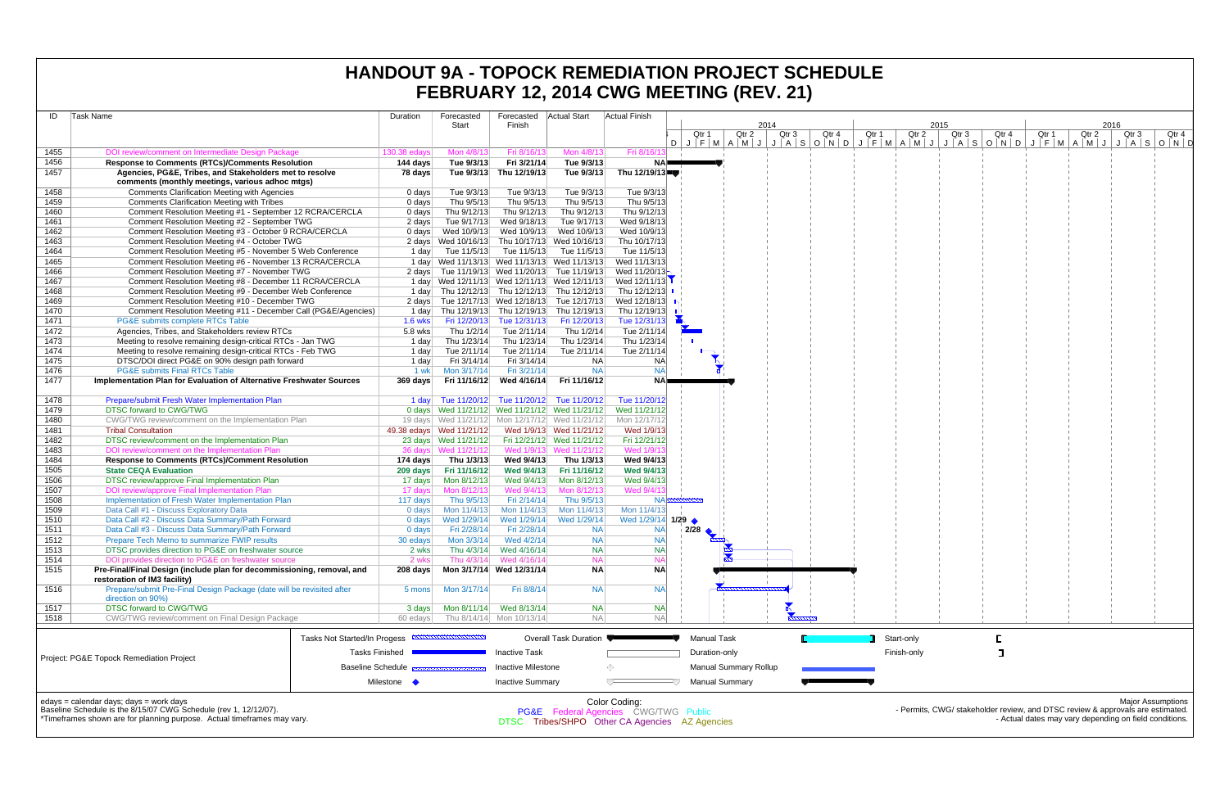| ID           | Task Name                                                                                                  | Duration                 | Forecasted                                     | Forecasted Actual Start  |                           | FEBRUARY 12, 2014 CWG MEETING (REV. 21)<br><b>Actual Finish</b> |                    |                              |                          |       |       |             |               |       |       |               |                                                                                |
|--------------|------------------------------------------------------------------------------------------------------------|--------------------------|------------------------------------------------|--------------------------|---------------------------|-----------------------------------------------------------------|--------------------|------------------------------|--------------------------|-------|-------|-------------|---------------|-------|-------|---------------|--------------------------------------------------------------------------------|
|              |                                                                                                            |                          | Start                                          | Finish                   |                           |                                                                 | Qtr 1              | Qtr <sub>2</sub>             | 2014<br>Qtr <sub>3</sub> | Qtr 4 | Qtr 1 | Qtr 2       | 2015<br>Qtr 3 | Qtr 4 | Qtr 1 | 2016<br>Qtr 2 | Qtr 3<br>Qtr 4                                                                 |
|              |                                                                                                            |                          |                                                |                          |                           |                                                                 |                    |                              |                          |       |       |             |               |       |       |               | DJFMAMJJASONDJFMAMJJASONDJFMAMJJASOND                                          |
| 1455         | DOI review/comment on Intermediate Design Package                                                          | 130.38 edays             | Mon 4/8/13                                     | Fri 8/16/13              | Mon 4/8/13                | Fri 8/16/1                                                      |                    |                              |                          |       |       |             |               |       |       |               |                                                                                |
| 1456<br>1457 | <b>Response to Comments (RTCs)/Comments Resolution</b>                                                     | 144 days                 | Tue 9/3/13                                     | Fri 3/21/14              | Tue 9/3/13                | NA=                                                             |                    |                              |                          |       |       |             |               |       |       |               |                                                                                |
|              | Agencies, PG&E, Tribes, and Stakeholders met to resolve<br>comments (monthly meetings, various adhoc mtgs) | 78 days                  |                                                | Tue 9/3/13 Thu 12/19/13  | Tue 9/3/13                | Thu 12/19/13                                                    |                    |                              |                          |       |       |             |               |       |       |               |                                                                                |
| 1458         | <b>Comments Clarification Meeting with Agencies</b>                                                        | 0 days                   | Tue 9/3/13                                     | Tue 9/3/13               | Tue 9/3/13                | Tue 9/3/13                                                      |                    |                              |                          |       |       |             |               |       |       |               |                                                                                |
| 1459         | <b>Comments Clarification Meeting with Tribes</b>                                                          | $0 \text{ days}$         | Thu 9/5/13                                     | Thu 9/5/13               | Thu 9/5/13                | Thu 9/5/13                                                      |                    |                              |                          |       |       |             |               |       |       |               |                                                                                |
| 1460         | Comment Resolution Meeting #1 - September 12 RCRA/CERCLA                                                   | 0 days                   | Thu 9/12/13                                    | Thu 9/12/13              | Thu 9/12/13               | Thu 9/12/13                                                     |                    |                              |                          |       |       |             |               |       |       |               |                                                                                |
| 1461         | Comment Resolution Meeting #2 - September TWG                                                              | 2 days                   | Tue 9/17/13                                    | Wed 9/18/13              | Tue 9/17/13               | Wed 9/18/13                                                     |                    |                              |                          |       |       |             |               |       |       |               |                                                                                |
| 1462         | Comment Resolution Meeting #3 - October 9 RCRA/CERCLA                                                      | 0 days                   | Wed 10/9/13                                    | Wed 10/9/13              | Wed 10/9/13               | Wed 10/9/13                                                     |                    |                              |                          |       |       |             |               |       |       |               |                                                                                |
| 1463         | Comment Resolution Meeting #4 - October TWG                                                                |                          | 2 days Wed 10/16/13 Thu 10/17/13 Wed 10/16/13  |                          |                           | Thu 10/17/13                                                    |                    |                              |                          |       |       |             |               |       |       |               |                                                                                |
| 1464         | Comment Resolution Meeting #5 - November 5 Web Conference                                                  |                          | 1 day Tue 11/5/13 Tue 11/5/13 Tue 11/5/13      |                          |                           | Tue 11/5/13                                                     |                    |                              |                          |       |       |             |               |       |       |               |                                                                                |
| 1465         | Comment Resolution Meeting #6 - November 13 RCRA/CERCLA                                                    |                          | 1 day Wed 11/13/13 Wed 11/13/13 Wed 11/13/13   |                          |                           | Wed 11/13/13                                                    |                    |                              |                          |       |       |             |               |       |       |               |                                                                                |
| 1466         | Comment Resolution Meeting #7 - November TWG                                                               |                          | 2 days Tue 11/19/13 Wed 11/20/13 Tue 11/19/13  |                          |                           | Wed $11/20/13$                                                  |                    |                              |                          |       |       |             |               |       |       |               |                                                                                |
| 1467         | Comment Resolution Meeting #8 - December 11 RCRA/CERCLA                                                    |                          | 1 day Wed 12/11/13 Wed 12/11/13 Wed 12/11/13   |                          |                           | Wed 12/11/13                                                    |                    |                              |                          |       |       |             |               |       |       |               |                                                                                |
| 1468         | Comment Resolution Meeting #9 - December Web Conference                                                    |                          | 1 day Thu 12/12/13 Thu 12/12/13 Thu 12/12/13   |                          |                           | Thu 12/12/13                                                    |                    |                              |                          |       |       |             |               |       |       |               |                                                                                |
| 1469         | Comment Resolution Meeting #10 - December TWG                                                              |                          | 2 days Tue 12/17/13 Wed 12/18/13 Tue 12/17/13  |                          |                           | Wed 12/18/13                                                    |                    |                              |                          |       |       |             |               |       |       |               |                                                                                |
| 1470         | Comment Resolution Meeting #11 - December Call (PG&E/Agencies)                                             |                          | 1 day Thu 12/19/13 Thu 12/19/13 Thu 12/19/13   |                          |                           | Thu 12/19/13                                                    |                    |                              |                          |       |       |             |               |       |       |               |                                                                                |
| 1471         | PG&E submits complete RTCs Table                                                                           | 1.6 wks                  | Fri 12/20/13                                   | Tue 12/31/13             | Fri 12/20/13              | Tue 12/31/13                                                    |                    |                              |                          |       |       |             |               |       |       |               |                                                                                |
| 1472         | Agencies, Tribes, and Stakeholders review RTCs                                                             | $5.8$ wks                | Thu 1/2/14                                     | Tue 2/11/14              | Thu 1/2/14                | Tue 2/11/14                                                     |                    |                              |                          |       |       |             |               |       |       |               |                                                                                |
| 1473         | Meeting to resolve remaining design-critical RTCs - Jan TWG                                                | 1 day                    | Thu 1/23/14                                    | Thu 1/23/14              | Thu 1/23/14               | Thu 1/23/14                                                     |                    |                              |                          |       |       |             |               |       |       |               |                                                                                |
| 1474         | Meeting to resolve remaining design-critical RTCs - Feb TWG                                                | 1 day                    | Tue 2/11/14                                    | Tue 2/11/14              | Tue 2/11/14               | Tue 2/11/14                                                     |                    |                              |                          |       |       |             |               |       |       |               |                                                                                |
| 1475         | DTSC/DOI direct PG&E on 90% design path forward                                                            | 1 day                    | Fri 3/14/14                                    | Fri 3/14/14              | <b>NA</b>                 | NA                                                              |                    |                              |                          |       |       |             |               |       |       |               |                                                                                |
| 1476         | <b>PG&amp;E submits Final RTCs Table</b>                                                                   | 1 wk                     | Mon 3/17/14                                    | Fri 3/21/14              | <b>NA</b>                 | <b>NA</b>                                                       |                    |                              |                          |       |       |             |               |       |       |               |                                                                                |
| 1477         | Implementation Plan for Evaluation of Alternative Freshwater Sources                                       | 369 days                 | Fri 11/16/12                                   | Wed 4/16/14              | Fri 11/16/12              | NA=                                                             |                    |                              |                          |       |       |             |               |       |       |               |                                                                                |
| 1478         | Prepare/submit Fresh Water Implementation Plan                                                             |                          | 1 day Tue 11/20/12 Tue 11/20/12 Tue 11/20/12   |                          |                           | Tue 11/20/12                                                    |                    |                              |                          |       |       |             |               |       |       |               |                                                                                |
| 1479         | <b>DTSC forward to CWG/TWG</b>                                                                             |                          | 0 days Wed 11/21/12 Wed 11/21/12 Wed 11/21/12  |                          |                           | Wed 11/21/12                                                    |                    |                              |                          |       |       |             |               |       |       |               |                                                                                |
| 1480         | CWG/TWG review/comment on the Implementation Plan                                                          |                          | 19 days Wed 11/21/12 Mon 12/17/12 Wed 11/21/12 |                          |                           | Mon 12/17/12                                                    |                    |                              |                          |       |       |             |               |       |       |               |                                                                                |
| 1481         | <b>Tribal Consultation</b>                                                                                 |                          | 49.38 edays  Wed 11/21/12                      |                          | Wed 1/9/13 Wed 11/21/12   | Wed 1/9/13                                                      |                    |                              |                          |       |       |             |               |       |       |               |                                                                                |
| 1482         | DTSC review/comment on the Implementation Plan                                                             |                          | 23 days Wed 11/21/12                           |                          | Fri 12/21/12 Wed 11/21/12 | Fri 12/21/12                                                    |                    |                              |                          |       |       |             |               |       |       |               |                                                                                |
| 1483         | DOI review/comment on the Implementation Plan                                                              |                          | 36 days Wed 11/21/12                           |                          | Wed 1/9/13 Wed 11/21/12   | Wed 1/9/1                                                       |                    |                              |                          |       |       |             |               |       |       |               |                                                                                |
| 1484         | <b>Response to Comments (RTCs)/Comment Resolution</b>                                                      | 174 days                 | Thu 1/3/13                                     | Wed 9/4/13               | Thu 1/3/13                | Wed 9/4/13                                                      |                    |                              |                          |       |       |             |               |       |       |               |                                                                                |
| 1505         | <b>State CEQA Evaluation</b>                                                                               |                          | 209 days Fri 11/16/12                          | <b>Wed 9/4/13</b>        | Fri 11/16/12              | Wed 9/4/13                                                      |                    |                              |                          |       |       |             |               |       |       |               |                                                                                |
| 1506         | DTSC review/approve Final Implementation Plan                                                              |                          |                                                | Wed 9/4/13               | Mon 8/12/13               | Wed 9/4/13                                                      |                    |                              |                          |       |       |             |               |       |       |               |                                                                                |
| 1507         | DOI review/approve Final Implementation Plan                                                               | 17 days                  | Mon 8/12/13                                    | Wed 9/4/13               | Mon 8/12/13               | Wed 9/4/1                                                       |                    |                              |                          |       |       |             |               |       |       |               |                                                                                |
| 1508         | Implementation of Fresh Water Implementation Plan                                                          | 117 days                 | Thu 9/5/13                                     | Fri 2/14/14              | Thu 9/5/13                | $NA \approx$                                                    |                    |                              |                          |       |       |             |               |       |       |               |                                                                                |
| 1509         | Data Call #1 - Discuss Exploratory Data                                                                    | 0 days                   | Mon 11/4/13                                    | Mon 11/4/13              | Mon 11/4/13               | Mon 11/4/13                                                     |                    |                              |                          |       |       |             |               |       |       |               |                                                                                |
| 1510         | Data Call #2 - Discuss Data Summary/Path Forward                                                           | 0 days                   | Wed 1/29/14                                    | Wed 1/29/14              | Wed 1/29/14               | Wed 1/29/14 1/29 ←                                              |                    |                              |                          |       |       |             |               |       |       |               |                                                                                |
| 1511         | Data Call #3 - Discuss Data Summary/Path Forward                                                           | $0$ days                 | Fri 2/28/14                                    | Fri 2/28/14              | <b>NA</b>                 | NA                                                              | 2/28               |                              |                          |       |       |             |               |       |       |               |                                                                                |
| 1512         | Prepare Tech Memo to summarize FWIP results                                                                | 30 edays                 | Mon 3/3/14                                     | Wed 4/2/14               | <b>NA</b>                 | <b>NA</b>                                                       |                    |                              |                          |       |       |             |               |       |       |               |                                                                                |
| 1513         | DTSC provides direction to PG&E on freshwater source                                                       | 2 wks                    | Thu 4/3/14                                     | Wed 4/16/14              | <b>NA</b>                 | <b>NA</b>                                                       |                    |                              |                          |       |       |             |               |       |       |               |                                                                                |
| 1514         | DOI provides direction to PG&E on freshwater source                                                        | 2 wks                    | Thu 4/3/14                                     | Wed 4/16/14              | <b>NA</b>                 | NA                                                              |                    |                              |                          |       |       |             |               |       |       |               |                                                                                |
| 1515         | Pre-Final/Final Design (include plan for decommissioning, removal, and                                     | 208 days                 |                                                | Mon 3/17/14 Wed 12/31/14 | <b>NA</b>                 | <b>NA</b>                                                       |                    |                              |                          |       |       |             |               |       |       |               |                                                                                |
|              | restoration of IM3 facility)                                                                               |                          |                                                |                          |                           |                                                                 |                    |                              |                          |       |       |             |               |       |       |               |                                                                                |
| 1516         | Prepare/submit Pre-Final Design Package (date will be revisited after                                      | 5 mons                   | Mon 3/17/14                                    | Fri 8/8/14               | <b>NA</b>                 | <b>NA</b>                                                       |                    |                              |                          |       |       |             |               |       |       |               |                                                                                |
|              | direction on 90%)                                                                                          |                          |                                                |                          |                           |                                                                 |                    |                              |                          |       |       |             |               |       |       |               |                                                                                |
| 1517         | <b>DTSC forward to CWG/TWG</b>                                                                             | 3 days                   |                                                | Mon 8/11/14 Wed 8/13/14  | <b>NA</b>                 | NA                                                              |                    |                              |                          |       |       |             |               |       |       |               |                                                                                |
| 1518         | CWG/TWG review/comment on Final Design Package                                                             | 60 edays                 |                                                | Thu 8/14/14 Mon 10/13/14 | <b>NA</b>                 | <b>NA</b>                                                       |                    |                              |                          |       |       |             |               |       |       |               |                                                                                |
|              | Tasks Not Started/In Progess                                                                               |                          |                                                |                          | Overall Task Duration     |                                                                 | <b>Manual Task</b> |                              |                          |       |       | Start-only  |               |       |       |               |                                                                                |
|              |                                                                                                            | <b>Tasks Finished</b>    |                                                | <b>Inactive Task</b>     |                           |                                                                 | Duration-only      |                              |                          |       |       | Finish-only |               |       |       |               |                                                                                |
|              | Project: PG&E Topock Remediation Project                                                                   |                          |                                                |                          |                           |                                                                 |                    |                              |                          |       |       |             |               |       |       |               |                                                                                |
|              |                                                                                                            | <b>Baseline Schedule</b> |                                                | Inactive Milestone       |                           |                                                                 |                    | <b>Manual Summary Rollup</b> |                          |       |       |             |               |       |       |               |                                                                                |
|              |                                                                                                            | Milestone •              |                                                | <b>Inactive Summary</b>  |                           | $\overline{\phantom{a}}$                                        |                    | <b>Manual Summary</b>        |                          |       |       |             |               |       |       |               |                                                                                |
|              | edays = calendar days; days = work days                                                                    |                          |                                                |                          |                           | Color Coding:                                                   |                    |                              |                          |       |       |             |               |       |       |               | <b>Major Assumptions</b>                                                       |
|              | Baseline Schedule is the 8/15/07 CWG Schedule (rev 1, 12/12/07).                                           |                          |                                                |                          |                           | <b>PG&amp;E</b> Federal Agencies CWG/TWG Public                 |                    |                              |                          |       |       |             |               |       |       |               | - Permits, CWG/ stakeholder review, and DTSC review & approvals are estimated. |
|              | *Timeframes shown are for planning purpose. Actual timeframes may vary.                                    |                          |                                                |                          |                           | DTSC Tribes/SHPO Other CA Agencies AZ Agencies                  |                    |                              |                          |       |       |             |               |       |       |               | - Actual dates may vary depending on field conditions.                         |

OR Agencies AZ Age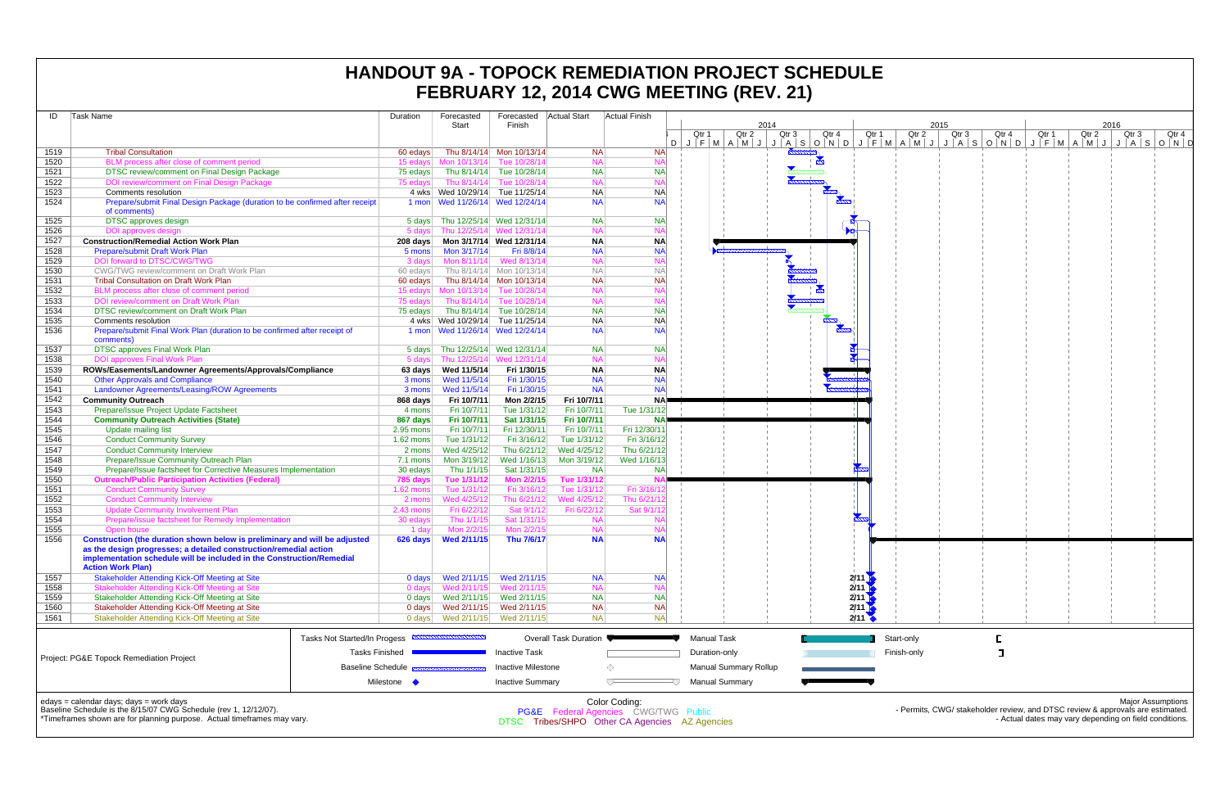|              |                                                                                                                                             |                          |                                    |                                        |                            |                                                                                              | FEBRUARY 12, 2014 CWG MEETING (REV. 21)                 |                  |                                            |             |       |       |       |       |                                                                                                                                          |
|--------------|---------------------------------------------------------------------------------------------------------------------------------------------|--------------------------|------------------------------------|----------------------------------------|----------------------------|----------------------------------------------------------------------------------------------|---------------------------------------------------------|------------------|--------------------------------------------|-------------|-------|-------|-------|-------|------------------------------------------------------------------------------------------------------------------------------------------|
| ID           | Task Name                                                                                                                                   | Duration                 | Forecasted<br>Start                | Forecasted Actual Start<br>Finish      |                            | <b>Actual Finish</b>                                                                         | 2014                                                    |                  |                                            |             | 2015  |       |       | 2016  |                                                                                                                                          |
|              |                                                                                                                                             |                          |                                    |                                        |                            |                                                                                              | Qtr 2<br>Qtr 1<br>DJFMAMJJASONDJFMAMJJASONDJFMAMJJASOND | Qtr <sub>3</sub> | Qtr 4<br>Qtr 1                             | Qtr 2       | Qtr 3 | Qtr 4 | Qtr 1 | Qtr 2 | Qtr 3<br>Qtr 4                                                                                                                           |
| 1519         | <b>Tribal Consultation</b>                                                                                                                  | 60 edays                 |                                    | Thu 8/14/14 Mon 10/13/14               | <b>NA</b>                  | <b>NA</b>                                                                                    |                                                         |                  |                                            |             |       |       |       |       |                                                                                                                                          |
| 1520         | BLM process after close of comment period                                                                                                   |                          | 15 edays Mon 10/13/14 Tue 10/28/14 |                                        | <b>NA</b>                  | <b>NA</b>                                                                                    |                                                         |                  |                                            |             |       |       |       |       |                                                                                                                                          |
| 1521         | DTSC review/comment on Final Design Package                                                                                                 | 75 edays                 |                                    | Thu 8/14/14 Tue 10/28/14               | <b>NA</b>                  | <b>NA</b>                                                                                    |                                                         |                  |                                            |             |       |       |       |       |                                                                                                                                          |
| 1522         | DOI review/comment on Final Design Package                                                                                                  | 75 edays                 |                                    | Thu 8/14/14 Tue 10/28/14               | <b>NA</b>                  | NA                                                                                           |                                                         |                  |                                            |             |       |       |       |       |                                                                                                                                          |
| 1523         | Comments resolution                                                                                                                         |                          | 4 wks Wed 10/29/14 Tue 11/25/14    |                                        | <b>NA</b>                  | NA                                                                                           |                                                         |                  |                                            |             |       |       |       |       |                                                                                                                                          |
| 1524         | Prepare/submit Final Design Package (duration to be confirmed after receipt<br>of comments)                                                 |                          | 1 mon Wed 11/26/14 Wed 12/24/14    |                                        | <b>NA</b>                  | NA                                                                                           |                                                         |                  |                                            |             |       |       |       |       |                                                                                                                                          |
| 1525         | <b>DTSC</b> approves design                                                                                                                 |                          | 5 days Thu 12/25/14 Wed 12/31/14   |                                        | <b>NA</b>                  | <b>NA</b>                                                                                    |                                                         |                  |                                            |             |       |       |       |       |                                                                                                                                          |
| 1526<br>1527 | DOI approves design<br><b>Construction/Remedial Action Work Plan</b>                                                                        |                          | 5 days Thu 12/25/14 Wed 12/31/14   |                                        | <b>NA</b>                  | <b>NA</b>                                                                                    |                                                         |                  |                                            |             |       |       |       |       |                                                                                                                                          |
| 1528         | <b>Prepare/submit Draft Work Plan</b>                                                                                                       | 208 days<br>5 mons       | Mon 3/17/14                        | Mon 3/17/14 Wed 12/31/14<br>Fri 8/8/14 | <b>NA</b><br><b>NA</b>     | $N_A$<br>NA                                                                                  |                                                         |                  |                                            |             |       |       |       |       |                                                                                                                                          |
| 1529         | DOI forward to DTSC/CWG/TWG                                                                                                                 | 3 days                   | Mon 8/11/14                        | Wed 8/13/14                            | <b>NA</b>                  | NA                                                                                           |                                                         |                  |                                            |             |       |       |       |       |                                                                                                                                          |
| 1530         | CWG/TWG review/comment on Draft Work Plan                                                                                                   | 60 edays                 |                                    | Thu 8/14/14 Mon 10/13/14               | <b>NA</b>                  | N <sub>A</sub>                                                                               |                                                         |                  |                                            |             |       |       |       |       |                                                                                                                                          |
| 1531         | <b>Tribal Consultation on Draft Work Plan</b>                                                                                               | 60 edays                 |                                    | Thu 8/14/14 Mon 10/13/14               | <b>NA</b>                  | <b>NA</b>                                                                                    |                                                         |                  |                                            |             |       |       |       |       |                                                                                                                                          |
| 1532         | BLM process after close of comment period                                                                                                   | 15 edays                 | Mon 10/13/14 Tue 10/28/14          |                                        | <b>NA</b>                  | <b>NA</b>                                                                                    |                                                         |                  |                                            |             |       |       |       |       |                                                                                                                                          |
| 1533         | DOI review/comment on Draft Work Plan                                                                                                       | 75 edays                 | Thu 8/14/14                        | Tue 10/28/14                           | <b>NA</b>                  | <b>NA</b>                                                                                    |                                                         |                  |                                            |             |       |       |       |       |                                                                                                                                          |
| 1534         | DTSC review/comment on Draft Work Plan                                                                                                      | 75 edays                 |                                    | Thu 8/14/14 Tue 10/28/14               | <b>NA</b>                  | <b>NA</b>                                                                                    |                                                         |                  |                                            |             |       |       |       |       |                                                                                                                                          |
| 1535         | Comments resolution                                                                                                                         |                          | 4 wks Wed 10/29/14 Tue 11/25/14    |                                        | <b>NA</b>                  | NA                                                                                           |                                                         |                  |                                            |             |       |       |       |       |                                                                                                                                          |
| 1536         | Prepare/submit Final Work Plan (duration to be confirmed after receipt of<br>comments)                                                      |                          | 1 mon Wed 11/26/14 Wed 12/24/14    |                                        | <b>NA</b>                  | NA                                                                                           |                                                         |                  |                                            |             |       |       |       |       |                                                                                                                                          |
| 1537         | <b>DTSC approves Final Work Plan</b>                                                                                                        |                          | 5 days Thu 12/25/14 Wed 12/31/14   |                                        | <b>NA</b>                  | <b>NA</b>                                                                                    |                                                         |                  |                                            |             |       |       |       |       |                                                                                                                                          |
| 1538         | <b>DOI approves Final Work Plan</b>                                                                                                         | 5 days                   |                                    | Thu 12/25/14 Wed 12/31/14              | <b>NA</b>                  | <b>NA</b>                                                                                    |                                                         |                  |                                            |             |       |       |       |       |                                                                                                                                          |
| 1539         | ROWs/Easements/Landowner Agreements/Approvals/Compliance                                                                                    |                          | 63 days Wed 11/5/14                | Fri 1/30/15                            | <b>NA</b>                  | <b>NA</b>                                                                                    |                                                         |                  |                                            |             |       |       |       |       |                                                                                                                                          |
| 1540         | <b>Other Approvals and Compliance</b>                                                                                                       | 3 mons                   | Wed 11/5/14                        | Fri 1/30/15<br>Fri 1/30/15             | <b>NA</b><br><b>NA</b>     | <b>NA</b><br>NA                                                                              |                                                         |                  |                                            |             |       |       |       |       |                                                                                                                                          |
| 1541<br>1542 | Landowner Agreements/Leasing/ROW Agreements<br><b>Community Outreach</b>                                                                    | 3 mons<br>868 days       | Wed 11/5/14<br>Fri 10/7/11         | Mon 2/2/15                             | Fri 10/7/11                | <b>NA</b>                                                                                    |                                                         |                  |                                            |             |       |       |       |       |                                                                                                                                          |
| 1543         | Prepare/Issue Project Update Factsheet                                                                                                      | 4 mons                   | Fri 10/7/11                        | Tue 1/31/12                            | Fri 10/7/11                | Tue 1/31/12                                                                                  |                                                         |                  |                                            |             |       |       |       |       |                                                                                                                                          |
| 1544         | <b>Community Outreach Activities (State)</b>                                                                                                | 867 days                 | Fri 10/7/11                        | Sat 1/31/15                            | Fri 10/7/11                | <b>NA</b>                                                                                    |                                                         |                  |                                            |             |       |       |       |       |                                                                                                                                          |
| 1545         | Update mailing list                                                                                                                         | $2.95$ mons              | Fri 10/7/11                        | Fri 12/30/11                           | Fri 10/7/11                | Fri 12/30/11                                                                                 |                                                         |                  |                                            |             |       |       |       |       |                                                                                                                                          |
| 1546         | <b>Conduct Community Survey</b>                                                                                                             | $1.62$ mons              | Tue 1/31/12                        | Fri 3/16/12                            | Tue 1/31/12                | Fri 3/16/12                                                                                  |                                                         |                  |                                            |             |       |       |       |       |                                                                                                                                          |
| 1547         | <b>Conduct Community Interview</b>                                                                                                          | 2 mons                   | Wed 4/25/12                        | Thu 6/21/12                            | Wed 4/25/12                | Thu 6/21/12                                                                                  |                                                         |                  |                                            |             |       |       |       |       |                                                                                                                                          |
| 1548         | Prepare/Issue Community Outreach Plan                                                                                                       | 7.1 mons                 | Mon 3/19/12                        | Wed 1/16/13                            | Mon 3/19/12                | Wed 1/16/13                                                                                  |                                                         |                  |                                            |             |       |       |       |       |                                                                                                                                          |
| 1549         | Prepare/Issue factsheet for Corrective Measures Implementation                                                                              | 30 edays                 | Thu 1/1/15                         | Sat 1/31/15                            | <b>NA</b>                  | <b>NA</b>                                                                                    |                                                         |                  |                                            |             |       |       |       |       |                                                                                                                                          |
| 1550         | <b>Outreach/Public Participation Activities (Federal)</b>                                                                                   | 785 days                 | Tue 1/31/12                        | <b>Mon 2/2/15</b>                      | Tue 1/31/12                |                                                                                              |                                                         |                  |                                            |             |       |       |       |       |                                                                                                                                          |
| 1551         | <b>Conduct Community Survey</b>                                                                                                             | $1.62$ mons              | Tue 1/31/12                        | Fri 3/16/12                            | Tue 1/31/12                | Fri 3/16/1<br>Thu 6/21/                                                                      |                                                         |                  |                                            |             |       |       |       |       |                                                                                                                                          |
| 1552<br>1553 | <b>Conduct Community Interview</b><br><b>Update Community Involvement Plan</b>                                                              | 2 mons<br>$2.43$ mons    | Wed 4/25/12<br>Fri 6/22/12         | Thu 6/21/12<br>Sat 9/1/12              | Wed 4/25/12<br>Fri 6/22/12 | Sat 9/1/                                                                                     |                                                         |                  |                                            |             |       |       |       |       |                                                                                                                                          |
| 1554         | Prepare/issue factsheet for Remedy Implementation                                                                                           | 30 edays                 | Thu 1/1/15                         | Sat 1/31/15                            | <b>NA</b>                  |                                                                                              |                                                         |                  |                                            |             |       |       |       |       |                                                                                                                                          |
| 1555         | Open house                                                                                                                                  | 1 day                    | Mon 2/2/15                         | Mon 2/2/15                             | <b>NA</b>                  | <b>NA</b>                                                                                    |                                                         |                  |                                            |             |       |       |       |       |                                                                                                                                          |
| 1556         | Construction (the duration shown below is preliminary and will be adjusted                                                                  |                          |                                    | Thu 7/6/17                             | <b>NA</b>                  | <b>NA</b>                                                                                    |                                                         |                  |                                            |             |       |       |       |       |                                                                                                                                          |
|              | as the design progresses; a detailed construction/remedial action<br>implementation schedule will be included in the Construction/Remedial  |                          |                                    |                                        |                            |                                                                                              |                                                         |                  |                                            |             |       |       |       |       |                                                                                                                                          |
|              | <b>Action Work Plan)</b>                                                                                                                    |                          |                                    |                                        |                            |                                                                                              |                                                         |                  |                                            |             |       |       |       |       |                                                                                                                                          |
| 1557         | <b>Stakeholder Attending Kick-Off Meeting at Site</b>                                                                                       | 0 days                   | Wed 2/11/15                        | Wed 2/11/15                            | <b>NA</b>                  | NA                                                                                           |                                                         |                  | $2/11$ M                                   |             |       |       |       |       |                                                                                                                                          |
| 1558         | Stakeholder Attending Kick-Off Meeting at Site                                                                                              | $0$ days                 | Wed 2/11/15                        | Wed 2/11/15                            | <b>NA</b>                  | <b>NA</b>                                                                                    |                                                         |                  | 2/11                                       |             |       |       |       |       |                                                                                                                                          |
| 1559         | Stakeholder Attending Kick-Off Meeting at Site                                                                                              |                          |                                    |                                        | <b>NA</b>                  | <b>NA</b>                                                                                    |                                                         |                  | 2/11                                       |             |       |       |       |       |                                                                                                                                          |
| 1560         | Stakeholder Attending Kick-Off Meeting at Site                                                                                              |                          |                                    | Wed 2/11/15                            | <b>NA</b><br><b>NA</b>     | NA<br><b>NA</b>                                                                              |                                                         |                  | $2/11$ $\blacksquare$<br>$2/11$ $\sqrt{ }$ |             |       |       |       |       |                                                                                                                                          |
| 1561         | Stakeholder Attending Kick-Off Meeting at Site                                                                                              |                          |                                    |                                        |                            |                                                                                              |                                                         |                  |                                            |             |       |       |       |       |                                                                                                                                          |
|              | Tasks Not Started/In Progess                                                                                                                |                          |                                    |                                        | Overall Task Duration      |                                                                                              | <b>Manual Task</b>                                      |                  |                                            | Start-only  |       |       |       |       |                                                                                                                                          |
|              |                                                                                                                                             | <b>Tasks Finished</b>    |                                    | <b>Inactive Task</b>                   |                            |                                                                                              | Duration-only                                           |                  |                                            | Finish-only |       |       |       |       |                                                                                                                                          |
|              | Project: PG&E Topock Remediation Project                                                                                                    | <b>Baseline Schedule</b> |                                    | <b>Inactive Milestone</b>              |                            | ◇                                                                                            | <b>Manual Summary Rollup</b>                            |                  |                                            |             |       |       |       |       |                                                                                                                                          |
|              |                                                                                                                                             | Milestone •              |                                    | <b>Inactive Summary</b>                |                            | $\overline{ }$                                                                               | <b>Manual Summary</b>                                   |                  |                                            |             |       |       |       |       |                                                                                                                                          |
|              | edays = calendar days; days = work days                                                                                                     |                          |                                    |                                        |                            | Color Coding:                                                                                |                                                         |                  |                                            |             |       |       |       |       | <b>Major Assumptions</b>                                                                                                                 |
|              | Baseline Schedule is the 8/15/07 CWG Schedule (rev 1, 12/12/07).<br>*Timeframes shown are for planning purpose. Actual timeframes may vary. |                          |                                    | <b>DTSC</b>                            |                            | <b>PG&amp;E</b> Federal Agencies CWG/TWG Public<br>Tribes/SHPO Other CA Agencies AZ Agencies |                                                         |                  |                                            |             |       |       |       |       | - Permits, CWG/ stakeholder review, and DTSC review & approvals are estimated.<br>- Actual dates may vary depending on field conditions. |